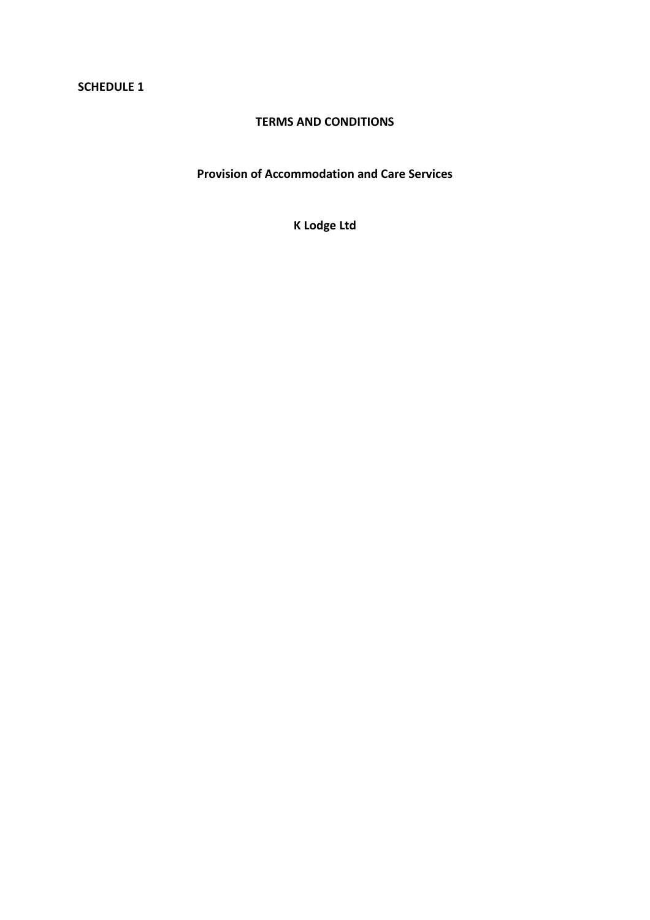### **SCHEDULE 1**

### **TERMS AND CONDITIONS**

**Provision of Accommodation and Care Services** 

**K Lodge Ltd**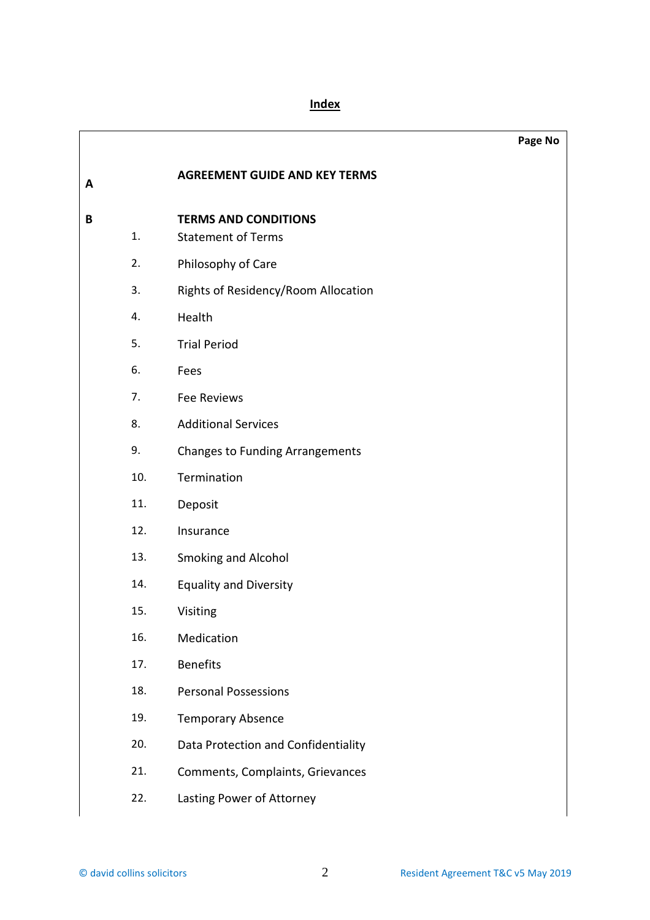|   |     |                                        | Page No |
|---|-----|----------------------------------------|---------|
| A |     | <b>AGREEMENT GUIDE AND KEY TERMS</b>   |         |
| B |     | <b>TERMS AND CONDITIONS</b>            |         |
|   | 1.  | <b>Statement of Terms</b>              |         |
|   | 2.  | Philosophy of Care                     |         |
|   | 3.  | Rights of Residency/Room Allocation    |         |
|   | 4.  | Health                                 |         |
|   | 5.  | <b>Trial Period</b>                    |         |
|   | 6.  | Fees                                   |         |
|   | 7.  | Fee Reviews                            |         |
|   | 8.  | <b>Additional Services</b>             |         |
|   | 9.  | <b>Changes to Funding Arrangements</b> |         |
|   | 10. | Termination                            |         |
|   | 11. | Deposit                                |         |
|   | 12. | Insurance                              |         |
|   | 13. | Smoking and Alcohol                    |         |
|   | 14. | <b>Equality and Diversity</b>          |         |
|   | 15. | Visiting                               |         |
|   | 16. | Medication                             |         |
|   | 17. | <b>Benefits</b>                        |         |
|   | 18. | <b>Personal Possessions</b>            |         |
|   | 19. | <b>Temporary Absence</b>               |         |
|   | 20. | Data Protection and Confidentiality    |         |
|   | 21. | Comments, Complaints, Grievances       |         |
|   | 22. | Lasting Power of Attorney              |         |
|   |     |                                        |         |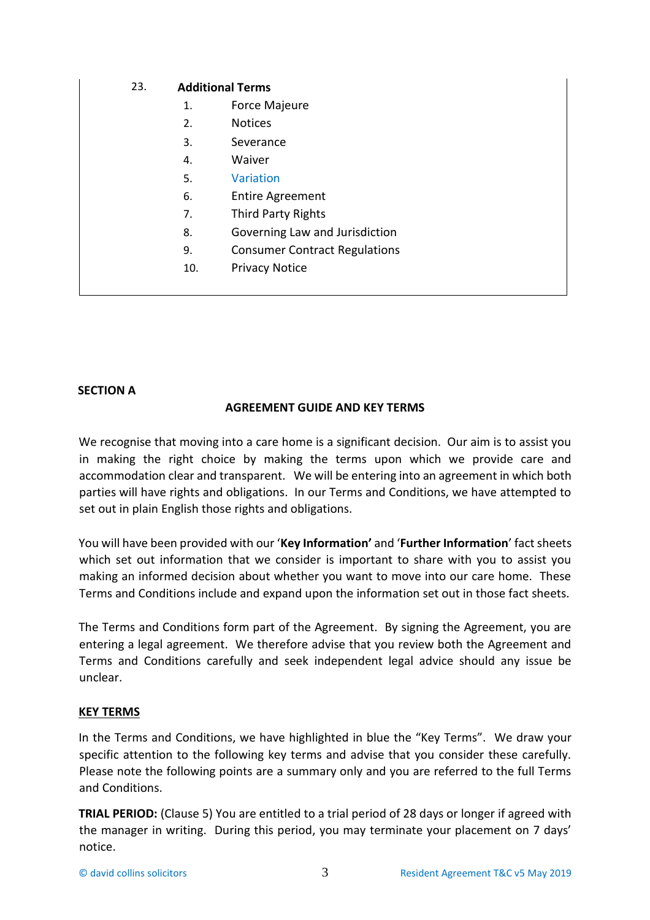## 23. **Additional Terms**

- 1. Force Majeure
- 2. Notices
- 3. Severance
- 4. Waiver
- 5. Variation
- 6. Entire Agreement
- 7. Third Party Rights
- 8. Governing Law and Jurisdiction
- 9. Consumer Contract Regulations
- 10. Privacy Notice

### **SECTION A**

## **AGREEMENT GUIDE AND KEY TERMS**

We recognise that moving into a care home is a significant decision. Our aim is to assist you in making the right choice by making the terms upon which we provide care and accommodation clear and transparent. We will be entering into an agreement in which both parties will have rights and obligations. In our Terms and Conditions, we have attempted to set out in plain English those rights and obligations.

You will have been provided with our '**Key Information'** and '**Further Information**' fact sheets which set out information that we consider is important to share with you to assist you making an informed decision about whether you want to move into our care home. These Terms and Conditions include and expand upon the information set out in those fact sheets.

The Terms and Conditions form part of the Agreement. By signing the Agreement, you are entering a legal agreement. We therefore advise that you review both the Agreement and Terms and Conditions carefully and seek independent legal advice should any issue be unclear.

### **KEY TERMS**

In the Terms and Conditions, we have highlighted in blue the "Key Terms". We draw your specific attention to the following key terms and advise that you consider these carefully. Please note the following points are a summary only and you are referred to the full Terms and Conditions.

**TRIAL PERIOD:** (Clause 5) You are entitled to a trial period of 28 days or longer if agreed with the manager in writing. During this period, you may terminate your placement on 7 days' notice.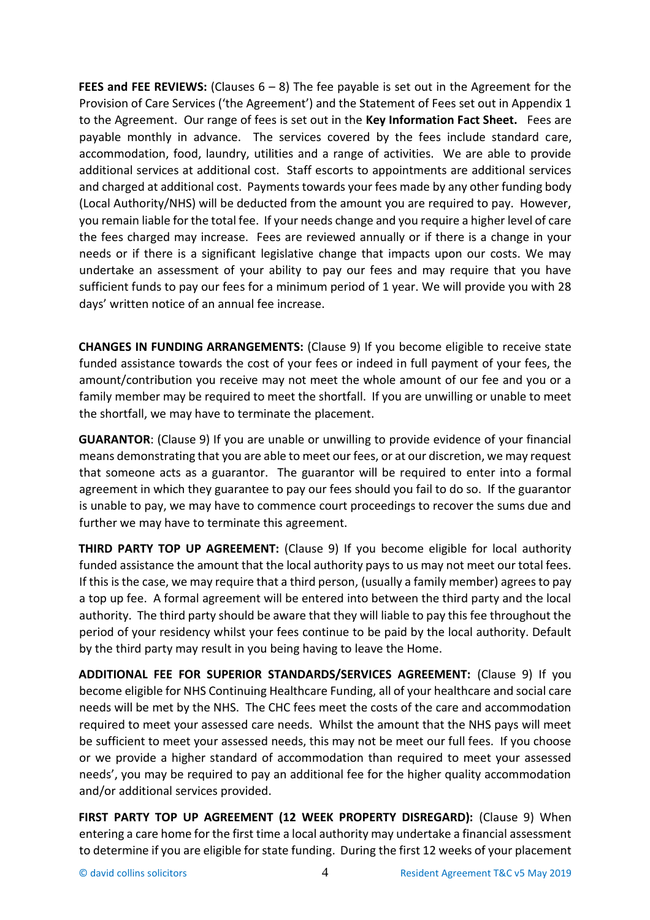**FEES and FEE REVIEWS:** (Clauses  $6 - 8$ ) The fee payable is set out in the Agreement for the Provision of Care Services ('the Agreement') and the Statement of Fees set out in Appendix 1 to the Agreement. Our range of fees is set out in the **Key Information Fact Sheet.** Fees are payable monthly in advance. The services covered by the fees include standard care, accommodation, food, laundry, utilities and a range of activities. We are able to provide additional services at additional cost. Staff escorts to appointments are additional services and charged at additional cost. Payments towards your fees made by any other funding body (Local Authority/NHS) will be deducted from the amount you are required to pay. However, you remain liable for the total fee. If your needs change and you require a higher level of care the fees charged may increase. Fees are reviewed annually or if there is a change in your needs or if there is a significant legislative change that impacts upon our costs. We may undertake an assessment of your ability to pay our fees and may require that you have sufficient funds to pay our fees for a minimum period of 1 year. We will provide you with 28 days' written notice of an annual fee increase.

**CHANGES IN FUNDING ARRANGEMENTS:** (Clause 9) If you become eligible to receive state funded assistance towards the cost of your fees or indeed in full payment of your fees, the amount/contribution you receive may not meet the whole amount of our fee and you or a family member may be required to meet the shortfall. If you are unwilling or unable to meet the shortfall, we may have to terminate the placement.

**GUARANTOR**: (Clause 9) If you are unable or unwilling to provide evidence of your financial means demonstrating that you are able to meet our fees, or at our discretion, we may request that someone acts as a guarantor. The guarantor will be required to enter into a formal agreement in which they guarantee to pay our fees should you fail to do so. If the guarantor is unable to pay, we may have to commence court proceedings to recover the sums due and further we may have to terminate this agreement.

**THIRD PARTY TOP UP AGREEMENT:** (Clause 9) If you become eligible for local authority funded assistance the amount that the local authority pays to us may not meet our total fees. If this is the case, we may require that a third person, (usually a family member) agrees to pay a top up fee. A formal agreement will be entered into between the third party and the local authority. The third party should be aware that they will liable to pay this fee throughout the period of your residency whilst your fees continue to be paid by the local authority. Default by the third party may result in you being having to leave the Home.

**ADDITIONAL FEE FOR SUPERIOR STANDARDS/SERVICES AGREEMENT:** (Clause 9) If you become eligible for NHS Continuing Healthcare Funding, all of your healthcare and social care needs will be met by the NHS. The CHC fees meet the costs of the care and accommodation required to meet your assessed care needs. Whilst the amount that the NHS pays will meet be sufficient to meet your assessed needs, this may not be meet our full fees. If you choose or we provide a higher standard of accommodation than required to meet your assessed needs', you may be required to pay an additional fee for the higher quality accommodation and/or additional services provided.

**FIRST PARTY TOP UP AGREEMENT (12 WEEK PROPERTY DISREGARD):** (Clause 9) When entering a care home for the first time a local authority may undertake a financial assessment to determine if you are eligible for state funding. During the first 12 weeks of your placement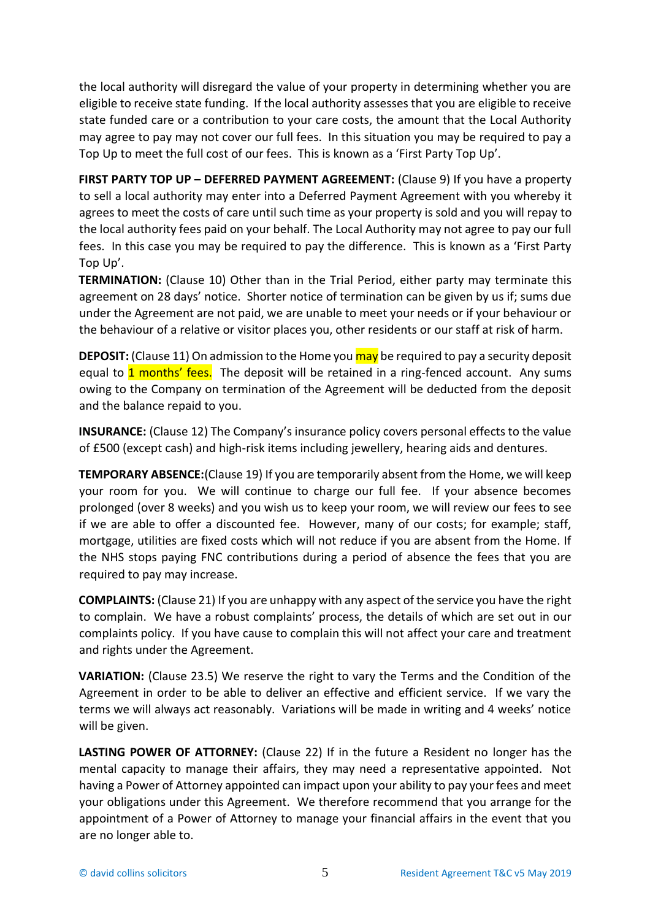the local authority will disregard the value of your property in determining whether you are eligible to receive state funding. If the local authority assesses that you are eligible to receive state funded care or a contribution to your care costs, the amount that the Local Authority may agree to pay may not cover our full fees. In this situation you may be required to pay a Top Up to meet the full cost of our fees. This is known as a 'First Party Top Up'.

**FIRST PARTY TOP UP – DEFERRED PAYMENT AGREEMENT: (Clause 9) If you have a property** to sell a local authority may enter into a Deferred Payment Agreement with you whereby it agrees to meet the costs of care until such time as your property is sold and you will repay to the local authority fees paid on your behalf. The Local Authority may not agree to pay our full fees. In this case you may be required to pay the difference. This is known as a 'First Party Top Up'.

**TERMINATION:** (Clause 10) Other than in the Trial Period, either party may terminate this agreement on 28 days' notice. Shorter notice of termination can be given by us if; sums due under the Agreement are not paid, we are unable to meet your needs or if your behaviour or the behaviour of a relative or visitor places you, other residents or our staff at risk of harm.

**DEPOSIT:** (Clause 11) On admission to the Home you may be required to pay a security deposit equal to **1 months' fees.** The deposit will be retained in a ring-fenced account. Any sums owing to the Company on termination of the Agreement will be deducted from the deposit and the balance repaid to you.

**INSURANCE:** (Clause 12) The Company's insurance policy covers personal effects to the value of £500 (except cash) and high-risk items including jewellery, hearing aids and dentures.

**TEMPORARY ABSENCE:**(Clause 19) If you are temporarily absent from the Home, we will keep your room for you. We will continue to charge our full fee. If your absence becomes prolonged (over 8 weeks) and you wish us to keep your room, we will review our fees to see if we are able to offer a discounted fee. However, many of our costs; for example; staff, mortgage, utilities are fixed costs which will not reduce if you are absent from the Home. If the NHS stops paying FNC contributions during a period of absence the fees that you are required to pay may increase.

**COMPLAINTS:** (Clause 21) If you are unhappy with any aspect of the service you have the right to complain. We have a robust complaints' process, the details of which are set out in our complaints policy. If you have cause to complain this will not affect your care and treatment and rights under the Agreement.

**VARIATION:** (Clause 23.5) We reserve the right to vary the Terms and the Condition of the Agreement in order to be able to deliver an effective and efficient service. If we vary the terms we will always act reasonably. Variations will be made in writing and 4 weeks' notice will be given.

LASTING POWER OF ATTORNEY: (Clause 22) If in the future a Resident no longer has the mental capacity to manage their affairs, they may need a representative appointed. Not having a Power of Attorney appointed can impact upon your ability to pay your fees and meet your obligations under this Agreement. We therefore recommend that you arrange for the appointment of a Power of Attorney to manage your financial affairs in the event that you are no longer able to.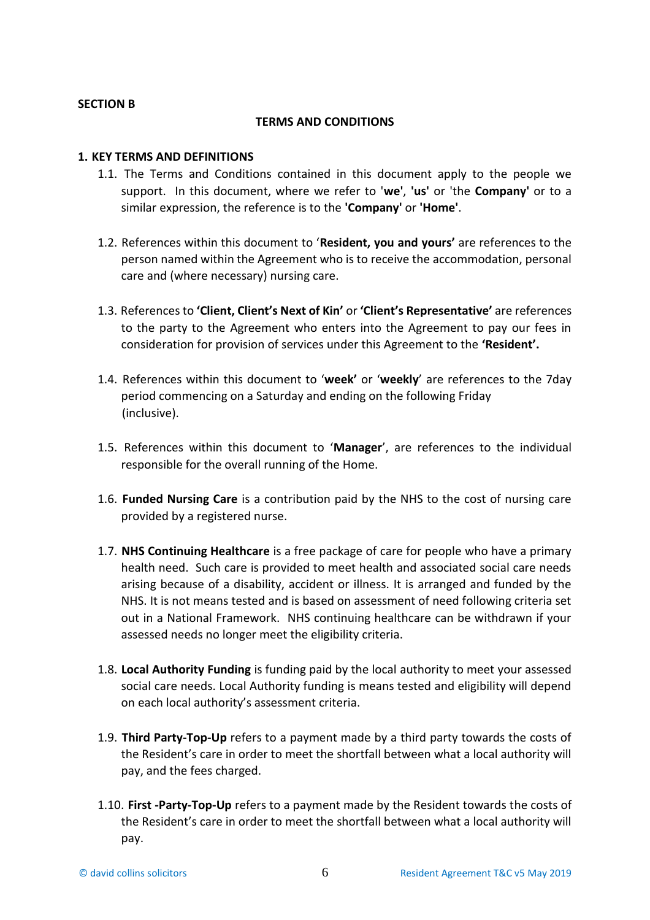#### **SECTION B**

#### **TERMS AND CONDITIONS**

### **1. KEY TERMS AND DEFINITIONS**

- 1.1. The Terms and Conditions contained in this document apply to the people we support. In this document, where we refer to '**we'**, **'us'** or 'the **Company'** or to a similar expression, the reference is to the **'Company'** or **'Home'**.
- 1.2. References within this document to '**Resident, you and yours'** are references to the person named within the Agreement who is to receive the accommodation, personal care and (where necessary) nursing care.
- 1.3. References to **'Client, Client's Next of Kin'** or **'Client's Representative'** are references to the party to the Agreement who enters into the Agreement to pay our fees in consideration for provision of services under this Agreement to the **'Resident'.**
- 1.4. References within this document to '**week'** or '**weekly**' are references to the 7day period commencing on a Saturday and ending on the following Friday (inclusive).
- 1.5. References within this document to '**Manager**', are references to the individual responsible for the overall running of the Home.
- 1.6. **Funded Nursing Care** is a contribution paid by the NHS to the cost of nursing care provided by a registered nurse.
- 1.7. **NHS Continuing Healthcare** is a free package of care for people who have a primary health need. Such care is provided to meet health and associated social care needs arising because of a disability, accident or illness. It is arranged and funded by the NHS. It is not means tested and is based on assessment of need following criteria set out in a National Framework. NHS continuing healthcare can be withdrawn if your assessed needs no longer meet the eligibility criteria.
- 1.8. **Local Authority Funding** is funding paid by the local authority to meet your assessed social care needs. Local Authority funding is means tested and eligibility will depend on each local authority's assessment criteria.
- 1.9. **Third Party-Top-Up** refers to a payment made by a third party towards the costs of the Resident's care in order to meet the shortfall between what a local authority will pay, and the fees charged.
- 1.10. **First -Party-Top-Up** refers to a payment made by the Resident towards the costs of the Resident's care in order to meet the shortfall between what a local authority will pay.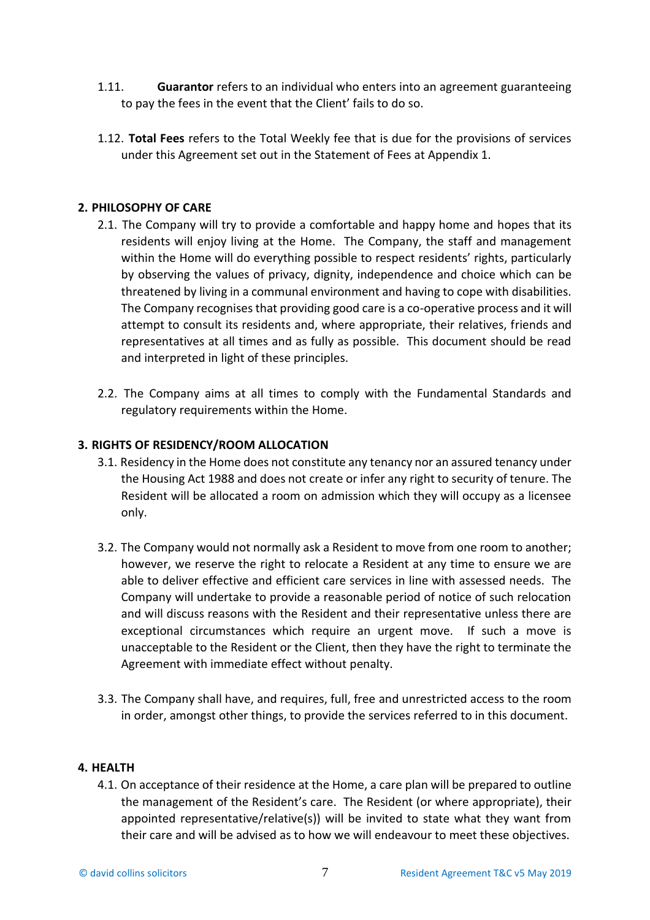- 1.11. **Guarantor** refers to an individual who enters into an agreement guaranteeing to pay the fees in the event that the Client' fails to do so.
- 1.12. **Total Fees** refers to the Total Weekly fee that is due for the provisions of services under this Agreement set out in the Statement of Fees at Appendix 1.

## **2. PHILOSOPHY OF CARE**

- 2.1. The Company will try to provide a comfortable and happy home and hopes that its residents will enjoy living at the Home. The Company, the staff and management within the Home will do everything possible to respect residents' rights, particularly by observing the values of privacy, dignity, independence and choice which can be threatened by living in a communal environment and having to cope with disabilities. The Company recognises that providing good care is a co-operative process and it will attempt to consult its residents and, where appropriate, their relatives, friends and representatives at all times and as fully as possible. This document should be read and interpreted in light of these principles.
- 2.2. The Company aims at all times to comply with the Fundamental Standards and regulatory requirements within the Home.

## **3. RIGHTS OF RESIDENCY/ROOM ALLOCATION**

- 3.1. Residency in the Home does not constitute any tenancy nor an assured tenancy under the Housing Act 1988 and does not create or infer any right to security of tenure. The Resident will be allocated a room on admission which they will occupy as a licensee only.
- 3.2. The Company would not normally ask a Resident to move from one room to another; however, we reserve the right to relocate a Resident at any time to ensure we are able to deliver effective and efficient care services in line with assessed needs. The Company will undertake to provide a reasonable period of notice of such relocation and will discuss reasons with the Resident and their representative unless there are exceptional circumstances which require an urgent move. If such a move is unacceptable to the Resident or the Client, then they have the right to terminate the Agreement with immediate effect without penalty.
- 3.3. The Company shall have, and requires, full, free and unrestricted access to the room in order, amongst other things, to provide the services referred to in this document.

### **4. HEALTH**

4.1. On acceptance of their residence at the Home, a care plan will be prepared to outline the management of the Resident's care. The Resident (or where appropriate), their appointed representative/relative(s)) will be invited to state what they want from their care and will be advised as to how we will endeavour to meet these objectives.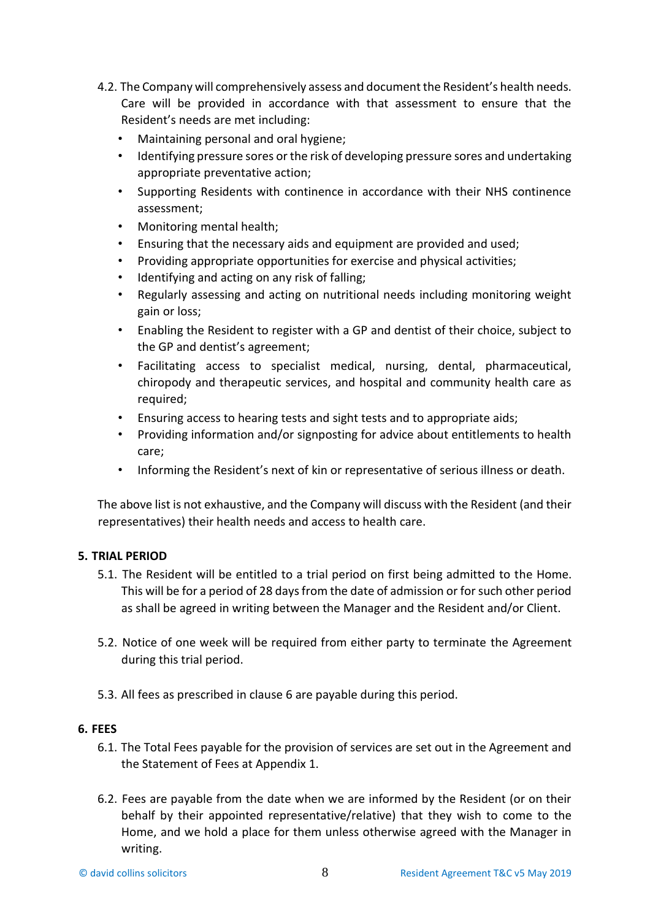- 4.2. The Company will comprehensively assess and document the Resident's health needs. Care will be provided in accordance with that assessment to ensure that the Resident's needs are met including:
	- Maintaining personal and oral hygiene;
	- Identifying pressure sores or the risk of developing pressure sores and undertaking appropriate preventative action;
	- Supporting Residents with continence in accordance with their NHS continence assessment;
	- Monitoring mental health;
	- Ensuring that the necessary aids and equipment are provided and used;
	- Providing appropriate opportunities for exercise and physical activities;
	- Identifying and acting on any risk of falling;
	- Regularly assessing and acting on nutritional needs including monitoring weight gain or loss;
	- Enabling the Resident to register with a GP and dentist of their choice, subject to the GP and dentist's agreement;
	- Facilitating access to specialist medical, nursing, dental, pharmaceutical, chiropody and therapeutic services, and hospital and community health care as required;
	- Ensuring access to hearing tests and sight tests and to appropriate aids;
	- Providing information and/or signposting for advice about entitlements to health care;
	- Informing the Resident's next of kin or representative of serious illness or death.

The above list is not exhaustive, and the Company will discuss with the Resident (and their representatives) their health needs and access to health care.

### **5. TRIAL PERIOD**

- 5.1. The Resident will be entitled to a trial period on first being admitted to the Home. This will be for a period of 28 days from the date of admission or for such other period as shall be agreed in writing between the Manager and the Resident and/or Client.
- 5.2. Notice of one week will be required from either party to terminate the Agreement during this trial period.
- 5.3. All fees as prescribed in clause 6 are payable during this period.

### **6. FEES**

- 6.1. The Total Fees payable for the provision of services are set out in the Agreement and the Statement of Fees at Appendix 1.
- 6.2. Fees are payable from the date when we are informed by the Resident (or on their behalf by their appointed representative/relative) that they wish to come to the Home, and we hold a place for them unless otherwise agreed with the Manager in writing.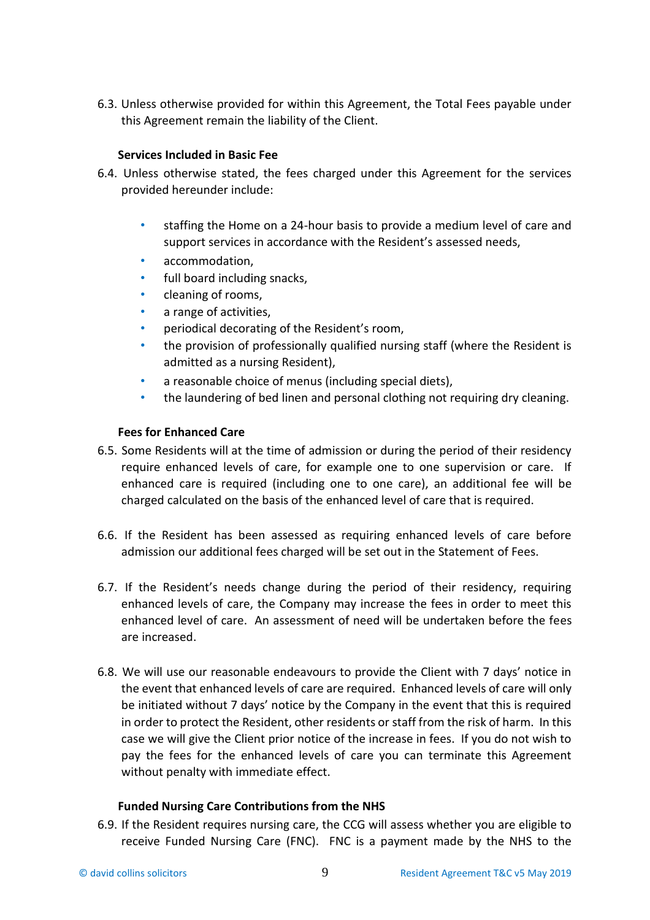6.3. Unless otherwise provided for within this Agreement, the Total Fees payable under this Agreement remain the liability of the Client.

## **Services Included in Basic Fee**

- 6.4. Unless otherwise stated, the fees charged under this Agreement for the services provided hereunder include:
	- staffing the Home on a 24-hour basis to provide a medium level of care and support services in accordance with the Resident's assessed needs,
	- accommodation,
	- full board including snacks,
	- cleaning of rooms,
	- a range of activities,
	- periodical decorating of the Resident's room,
	- the provision of professionally qualified nursing staff (where the Resident is admitted as a nursing Resident),
	- a reasonable choice of menus (including special diets),
	- the laundering of bed linen and personal clothing not requiring dry cleaning.

# **Fees for Enhanced Care**

- 6.5. Some Residents will at the time of admission or during the period of their residency require enhanced levels of care, for example one to one supervision or care. If enhanced care is required (including one to one care), an additional fee will be charged calculated on the basis of the enhanced level of care that is required.
- 6.6. If the Resident has been assessed as requiring enhanced levels of care before admission our additional fees charged will be set out in the Statement of Fees.
- 6.7. If the Resident's needs change during the period of their residency, requiring enhanced levels of care, the Company may increase the fees in order to meet this enhanced level of care. An assessment of need will be undertaken before the fees are increased.
- 6.8. We will use our reasonable endeavours to provide the Client with 7 days' notice in the event that enhanced levels of care are required. Enhanced levels of care will only be initiated without 7 days' notice by the Company in the event that this is required in order to protect the Resident, other residents or staff from the risk of harm. In this case we will give the Client prior notice of the increase in fees. If you do not wish to pay the fees for the enhanced levels of care you can terminate this Agreement without penalty with immediate effect.

# **Funded Nursing Care Contributions from the NHS**

6.9. If the Resident requires nursing care, the CCG will assess whether you are eligible to receive Funded Nursing Care (FNC). FNC is a payment made by the NHS to the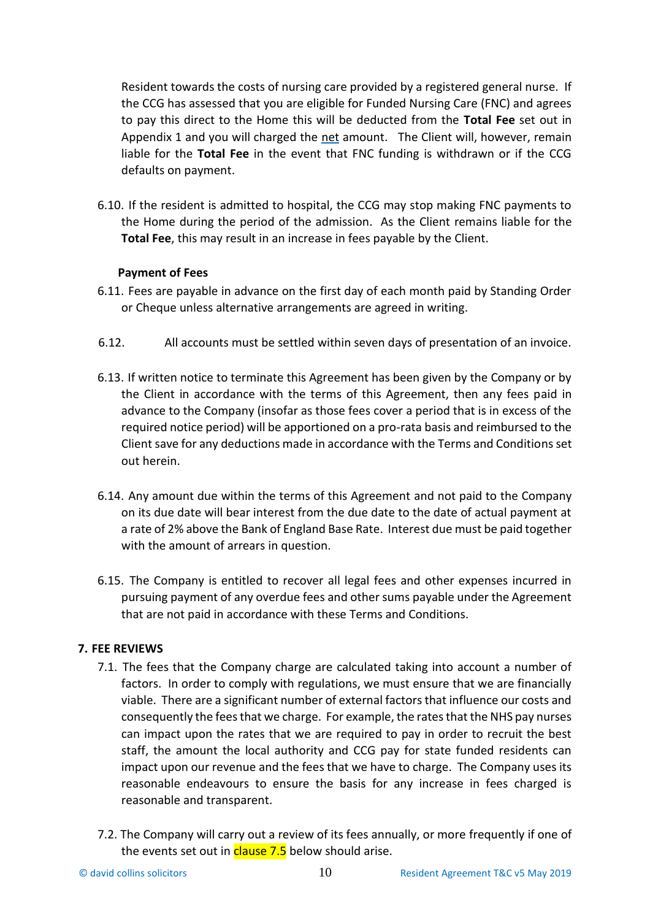Resident towards the costs of nursing care provided by a registered general nurse. If the CCG has assessed that you are eligible for Funded Nursing Care (FNC) and agrees to pay this direct to the Home this will be deducted from the **Total Fee** set out in Appendix 1 and you will charged the net amount. The Client will, however, remain liable for the **Total Fee** in the event that FNC funding is withdrawn or if the CCG defaults on payment.

6.10. If the resident is admitted to hospital, the CCG may stop making FNC payments to the Home during the period of the admission. As the Client remains liable for the **Total Fee**, this may result in an increase in fees payable by the Client.

# **Payment of Fees**

- 6.11. Fees are payable in advance on the first day of each month paid by Standing Order or Cheque unless alternative arrangements are agreed in writing.
- 6.12. All accounts must be settled within seven days of presentation of an invoice.
- 6.13. If written notice to terminate this Agreement has been given by the Company or by the Client in accordance with the terms of this Agreement, then any fees paid in advance to the Company (insofar as those fees cover a period that is in excess of the required notice period) will be apportioned on a pro-rata basis and reimbursed to the Client save for any deductions made in accordance with the Terms and Conditions set out herein.
- 6.14. Any amount due within the terms of this Agreement and not paid to the Company on its due date will bear interest from the due date to the date of actual payment at a rate of 2% above the Bank of England Base Rate. Interest due must be paid together with the amount of arrears in question.
- 6.15. The Company is entitled to recover all legal fees and other expenses incurred in pursuing payment of any overdue fees and other sums payable under the Agreement that are not paid in accordance with these Terms and Conditions.

# **7. FEE REVIEWS**

- 7.1. The fees that the Company charge are calculated taking into account a number of factors. In order to comply with regulations, we must ensure that we are financially viable. There are a significant number of external factors that influence our costs and consequently the fees that we charge. For example, the rates that the NHS pay nurses can impact upon the rates that we are required to pay in order to recruit the best staff, the amount the local authority and CCG pay for state funded residents can impact upon our revenue and the fees that we have to charge. The Company uses its reasonable endeavours to ensure the basis for any increase in fees charged is reasonable and transparent.
- 7.2. The Company will carry out a review of its fees annually, or more frequently if one of the events set out in **clause 7.5** below should arise.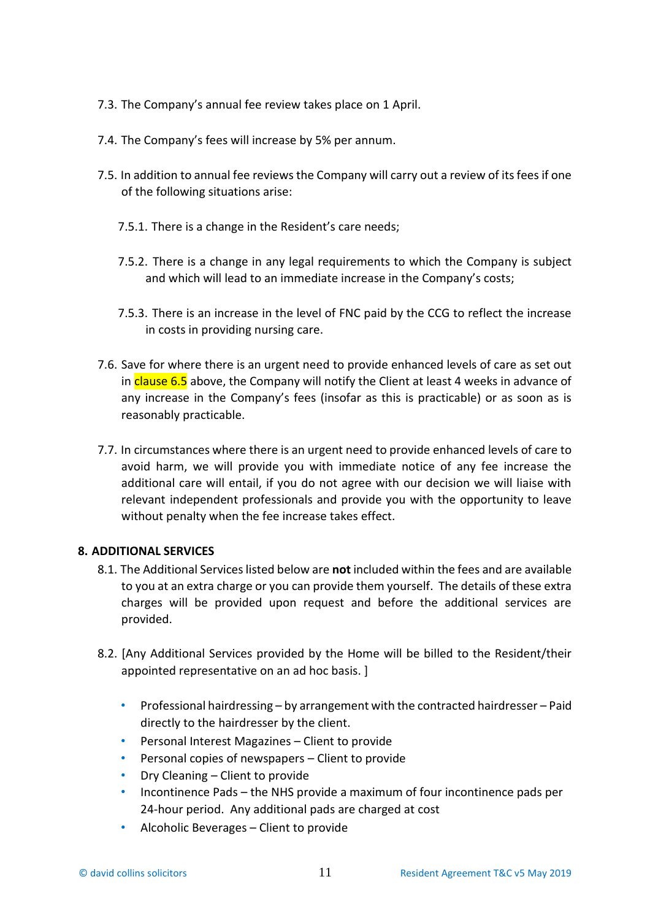- 7.3. The Company's annual fee review takes place on 1 April.
- 7.4. The Company's fees will increase by 5% per annum.
- 7.5. In addition to annual fee reviews the Company will carry out a review of its fees if one of the following situations arise:
	- 7.5.1. There is a change in the Resident's care needs;
	- 7.5.2. There is a change in any legal requirements to which the Company is subject and which will lead to an immediate increase in the Company's costs;
	- 7.5.3. There is an increase in the level of FNC paid by the CCG to reflect the increase in costs in providing nursing care.
- 7.6. Save for where there is an urgent need to provide enhanced levels of care as set out in clause 6.5 above, the Company will notify the Client at least 4 weeks in advance of any increase in the Company's fees (insofar as this is practicable) or as soon as is reasonably practicable.
- 7.7. In circumstances where there is an urgent need to provide enhanced levels of care to avoid harm, we will provide you with immediate notice of any fee increase the additional care will entail, if you do not agree with our decision we will liaise with relevant independent professionals and provide you with the opportunity to leave without penalty when the fee increase takes effect.

### **8. ADDITIONAL SERVICES**

- 8.1. The Additional Services listed below are **not** included within the fees and are available to you at an extra charge or you can provide them yourself. The details of these extra charges will be provided upon request and before the additional services are provided.
- 8.2. [Any Additional Services provided by the Home will be billed to the Resident/their appointed representative on an ad hoc basis. ]
	- Professional hairdressing by arrangement with the contracted hairdresser Paid directly to the hairdresser by the client.
	- Personal Interest Magazines Client to provide
	- Personal copies of newspapers Client to provide
	- Dry Cleaning Client to provide
	- Incontinence Pads the NHS provide a maximum of four incontinence pads per 24-hour period. Any additional pads are charged at cost
	- Alcoholic Beverages Client to provide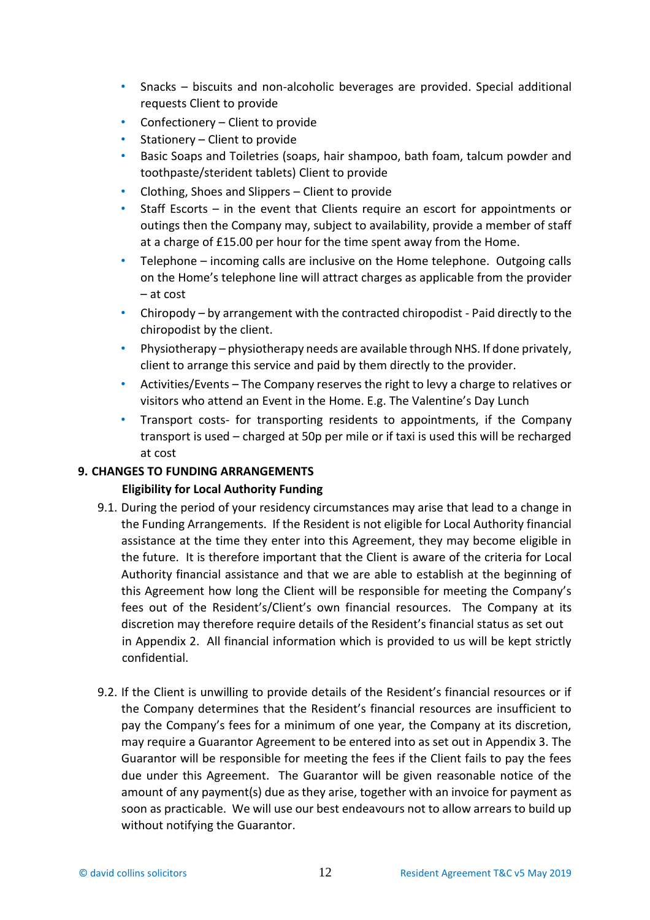- Snacks biscuits and non-alcoholic beverages are provided. Special additional requests Client to provide
- Confectionery Client to provide
- Stationery Client to provide
- Basic Soaps and Toiletries (soaps, hair shampoo, bath foam, talcum powder and toothpaste/sterident tablets) Client to provide
- Clothing, Shoes and Slippers Client to provide
- Staff Escorts in the event that Clients require an escort for appointments or outings then the Company may, subject to availability, provide a member of staff at a charge of £15.00 per hour for the time spent away from the Home.
- Telephone incoming calls are inclusive on the Home telephone. Outgoing calls on the Home's telephone line will attract charges as applicable from the provider – at cost
- Chiropody by arrangement with the contracted chiropodist Paid directly to the chiropodist by the client.
- Physiotherapy physiotherapy needs are available through NHS. If done privately, client to arrange this service and paid by them directly to the provider.
- Activities/Events The Company reserves the right to levy a charge to relatives or visitors who attend an Event in the Home. E.g. The Valentine's Day Lunch
- Transport costs- for transporting residents to appointments, if the Company transport is used – charged at 50p per mile or if taxi is used this will be recharged at cost

# **9. CHANGES TO FUNDING ARRANGEMENTS**

# **Eligibility for Local Authority Funding**

- 9.1. During the period of your residency circumstances may arise that lead to a change in the Funding Arrangements. If the Resident is not eligible for Local Authority financial assistance at the time they enter into this Agreement, they may become eligible in the future. It is therefore important that the Client is aware of the criteria for Local Authority financial assistance and that we are able to establish at the beginning of this Agreement how long the Client will be responsible for meeting the Company's fees out of the Resident's/Client's own financial resources. The Company at its discretion may therefore require details of the Resident's financial status as set out in Appendix 2. All financial information which is provided to us will be kept strictly confidential.
- 9.2. If the Client is unwilling to provide details of the Resident's financial resources or if the Company determines that the Resident's financial resources are insufficient to pay the Company's fees for a minimum of one year, the Company at its discretion, may require a Guarantor Agreement to be entered into as set out in Appendix 3. The Guarantor will be responsible for meeting the fees if the Client fails to pay the fees due under this Agreement. The Guarantor will be given reasonable notice of the amount of any payment(s) due as they arise, together with an invoice for payment as soon as practicable. We will use our best endeavours not to allow arrears to build up without notifying the Guarantor.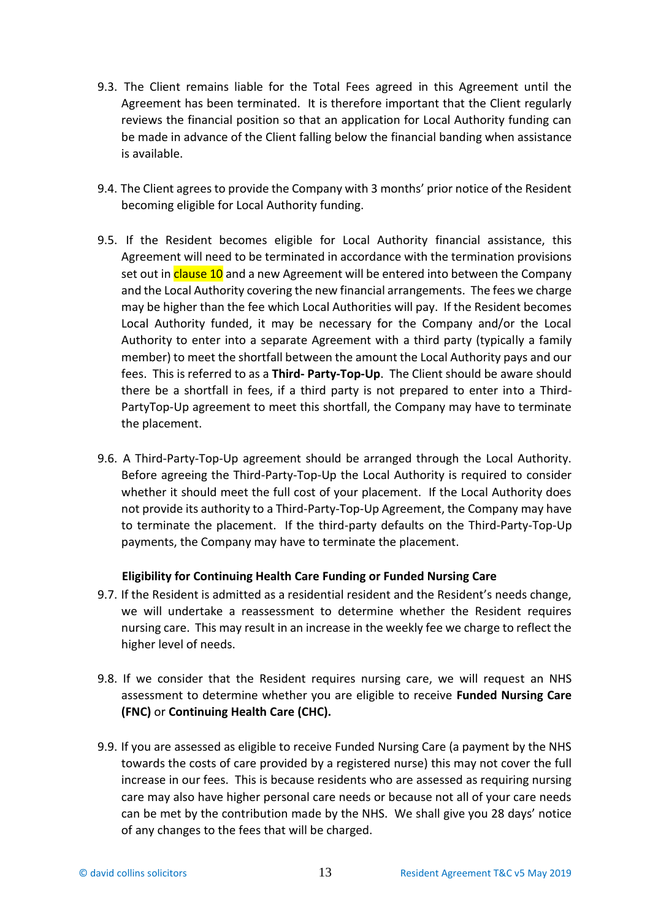- 9.3. The Client remains liable for the Total Fees agreed in this Agreement until the Agreement has been terminated. It is therefore important that the Client regularly reviews the financial position so that an application for Local Authority funding can be made in advance of the Client falling below the financial banding when assistance is available.
- 9.4. The Client agrees to provide the Company with 3 months' prior notice of the Resident becoming eligible for Local Authority funding.
- 9.5. If the Resident becomes eligible for Local Authority financial assistance, this Agreement will need to be terminated in accordance with the termination provisions set out in clause 10 and a new Agreement will be entered into between the Company and the Local Authority covering the new financial arrangements. The fees we charge may be higher than the fee which Local Authorities will pay. If the Resident becomes Local Authority funded, it may be necessary for the Company and/or the Local Authority to enter into a separate Agreement with a third party (typically a family member) to meet the shortfall between the amount the Local Authority pays and our fees. This is referred to as a **Third- Party-Top-Up**. The Client should be aware should there be a shortfall in fees, if a third party is not prepared to enter into a Third-PartyTop-Up agreement to meet this shortfall, the Company may have to terminate the placement.
- 9.6. A Third-Party-Top-Up agreement should be arranged through the Local Authority. Before agreeing the Third-Party-Top-Up the Local Authority is required to consider whether it should meet the full cost of your placement. If the Local Authority does not provide its authority to a Third-Party-Top-Up Agreement, the Company may have to terminate the placement. If the third-party defaults on the Third-Party-Top-Up payments, the Company may have to terminate the placement.

# **Eligibility for Continuing Health Care Funding or Funded Nursing Care**

- 9.7. If the Resident is admitted as a residential resident and the Resident's needs change, we will undertake a reassessment to determine whether the Resident requires nursing care. This may result in an increase in the weekly fee we charge to reflect the higher level of needs.
- 9.8. If we consider that the Resident requires nursing care, we will request an NHS assessment to determine whether you are eligible to receive **Funded Nursing Care (FNC)** or **Continuing Health Care (CHC).**
- 9.9. If you are assessed as eligible to receive Funded Nursing Care (a payment by the NHS towards the costs of care provided by a registered nurse) this may not cover the full increase in our fees. This is because residents who are assessed as requiring nursing care may also have higher personal care needs or because not all of your care needs can be met by the contribution made by the NHS. We shall give you 28 days' notice of any changes to the fees that will be charged.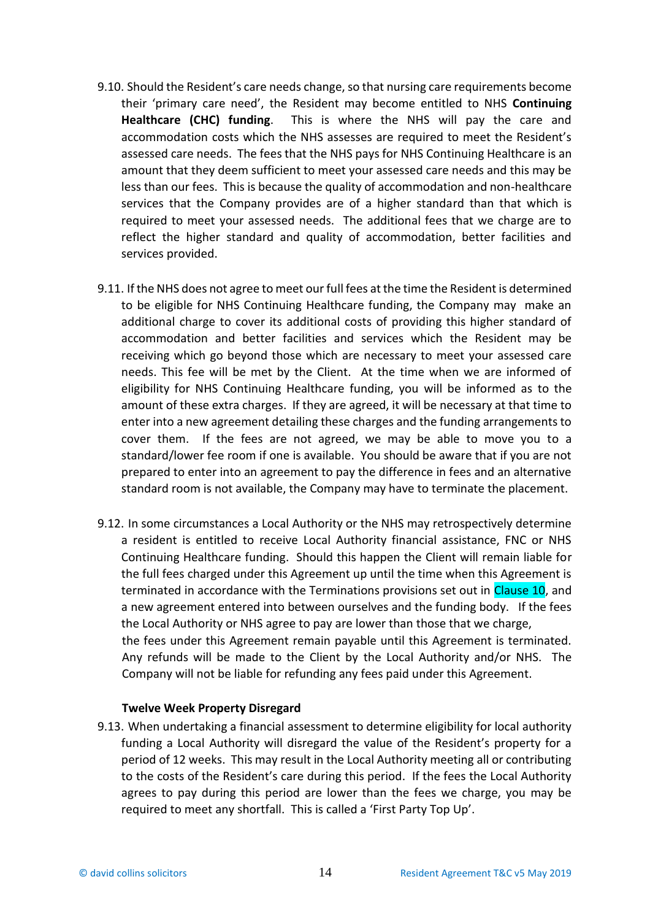- 9.10. Should the Resident's care needs change, so that nursing care requirements become their 'primary care need', the Resident may become entitled to NHS **Continuing Healthcare (CHC) funding**. This is where the NHS will pay the care and accommodation costs which the NHS assesses are required to meet the Resident's assessed care needs. The fees that the NHS pays for NHS Continuing Healthcare is an amount that they deem sufficient to meet your assessed care needs and this may be less than our fees. This is because the quality of accommodation and non-healthcare services that the Company provides are of a higher standard than that which is required to meet your assessed needs. The additional fees that we charge are to reflect the higher standard and quality of accommodation, better facilities and services provided.
- 9.11. If the NHS does not agree to meet our full fees at the time the Resident is determined to be eligible for NHS Continuing Healthcare funding, the Company may make an additional charge to cover its additional costs of providing this higher standard of accommodation and better facilities and services which the Resident may be receiving which go beyond those which are necessary to meet your assessed care needs. This fee will be met by the Client. At the time when we are informed of eligibility for NHS Continuing Healthcare funding, you will be informed as to the amount of these extra charges. If they are agreed, it will be necessary at that time to enter into a new agreement detailing these charges and the funding arrangements to cover them. If the fees are not agreed, we may be able to move you to a standard/lower fee room if one is available. You should be aware that if you are not prepared to enter into an agreement to pay the difference in fees and an alternative standard room is not available, the Company may have to terminate the placement.
- 9.12. In some circumstances a Local Authority or the NHS may retrospectively determine a resident is entitled to receive Local Authority financial assistance, FNC or NHS Continuing Healthcare funding. Should this happen the Client will remain liable for the full fees charged under this Agreement up until the time when this Agreement is terminated in accordance with the Terminations provisions set out in Clause 10, and a new agreement entered into between ourselves and the funding body. If the fees the Local Authority or NHS agree to pay are lower than those that we charge, the fees under this Agreement remain payable until this Agreement is terminated. Any refunds will be made to the Client by the Local Authority and/or NHS. The Company will not be liable for refunding any fees paid under this Agreement.

### **Twelve Week Property Disregard**

9.13. When undertaking a financial assessment to determine eligibility for local authority funding a Local Authority will disregard the value of the Resident's property for a period of 12 weeks. This may result in the Local Authority meeting all or contributing to the costs of the Resident's care during this period. If the fees the Local Authority agrees to pay during this period are lower than the fees we charge, you may be required to meet any shortfall. This is called a 'First Party Top Up'.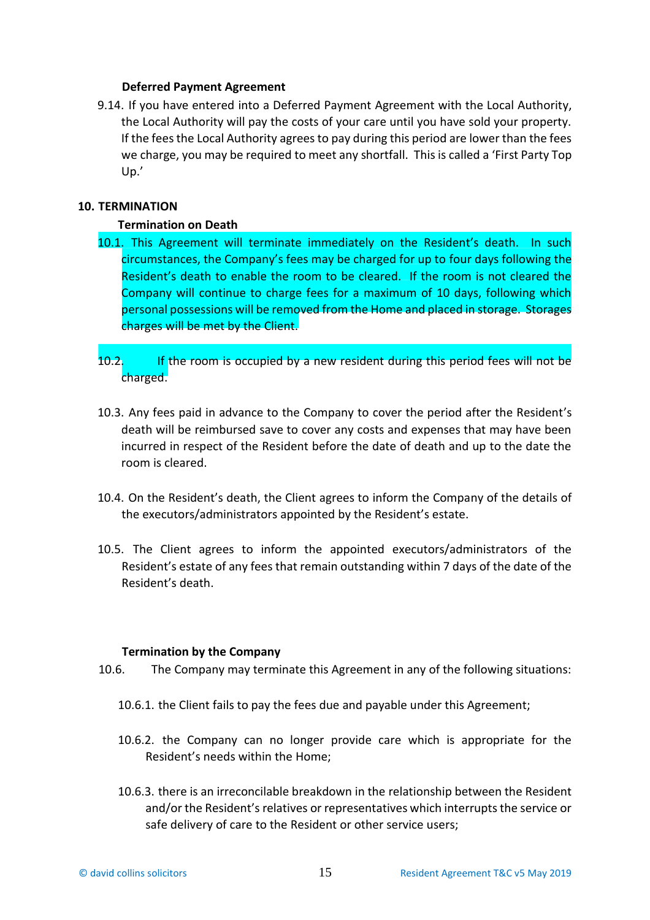#### **Deferred Payment Agreement**

9.14. If you have entered into a Deferred Payment Agreement with the Local Authority, the Local Authority will pay the costs of your care until you have sold your property. If the fees the Local Authority agrees to pay during this period are lower than the fees we charge, you may be required to meet any shortfall. This is called a 'First Party Top Up.'

### **10. TERMINATION**

#### **Termination on Death**

- 10.1. This Agreement will terminate immediately on the Resident's death. In such circumstances, the Company's fees may be charged for up to four days following the Resident's death to enable the room to be cleared. If the room is not cleared the Company will continue to charge fees for a maximum of 10 days, following which personal possessions will be removed from the Home and placed in storage. Storages charges will be met by the Client.
- 10.2. If the room is occupied by a new resident during this period fees will not be charged.
- 10.3. Any fees paid in advance to the Company to cover the period after the Resident's death will be reimbursed save to cover any costs and expenses that may have been incurred in respect of the Resident before the date of death and up to the date the room is cleared.
- 10.4. On the Resident's death, the Client agrees to inform the Company of the details of the executors/administrators appointed by the Resident's estate.
- 10.5. The Client agrees to inform the appointed executors/administrators of the Resident's estate of any fees that remain outstanding within 7 days of the date of the Resident's death.

#### **Termination by the Company**

- 10.6. The Company may terminate this Agreement in any of the following situations:
	- 10.6.1. the Client fails to pay the fees due and payable under this Agreement;
	- 10.6.2. the Company can no longer provide care which is appropriate for the Resident's needs within the Home;
	- 10.6.3. there is an irreconcilable breakdown in the relationship between the Resident and/or the Resident's relatives or representatives which interrupts the service or safe delivery of care to the Resident or other service users;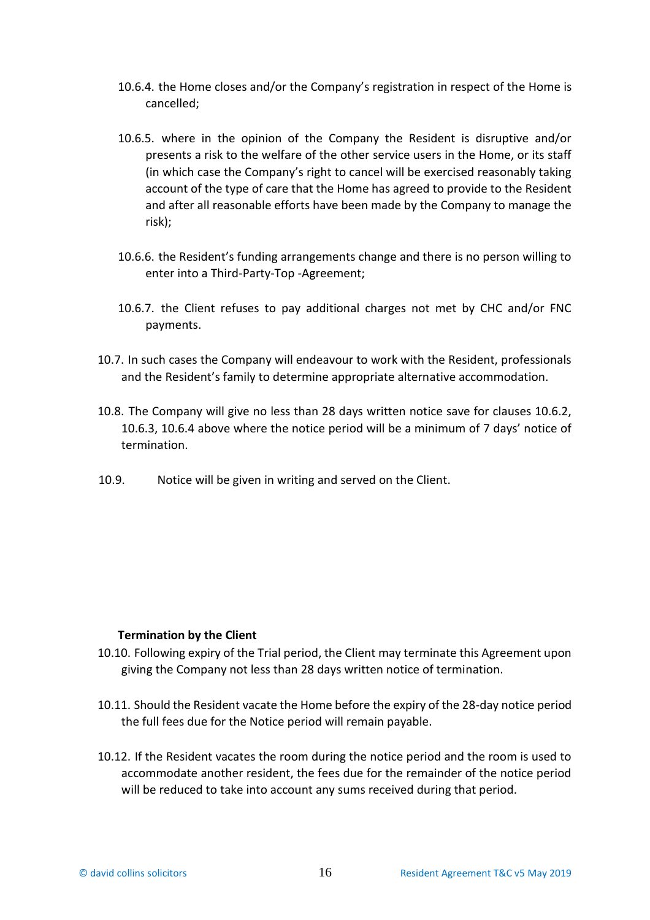- 10.6.4. the Home closes and/or the Company's registration in respect of the Home is cancelled;
- 10.6.5. where in the opinion of the Company the Resident is disruptive and/or presents a risk to the welfare of the other service users in the Home, or its staff (in which case the Company's right to cancel will be exercised reasonably taking account of the type of care that the Home has agreed to provide to the Resident and after all reasonable efforts have been made by the Company to manage the risk);
- 10.6.6. the Resident's funding arrangements change and there is no person willing to enter into a Third-Party-Top -Agreement;
- 10.6.7. the Client refuses to pay additional charges not met by CHC and/or FNC payments.
- 10.7. In such cases the Company will endeavour to work with the Resident, professionals and the Resident's family to determine appropriate alternative accommodation.
- 10.8. The Company will give no less than 28 days written notice save for clauses 10.6.2, 10.6.3, 10.6.4 above where the notice period will be a minimum of 7 days' notice of termination.
- 10.9. Notice will be given in writing and served on the Client.

### **Termination by the Client**

- 10.10. Following expiry of the Trial period, the Client may terminate this Agreement upon giving the Company not less than 28 days written notice of termination.
- 10.11. Should the Resident vacate the Home before the expiry of the 28-day notice period the full fees due for the Notice period will remain payable.
- 10.12. If the Resident vacates the room during the notice period and the room is used to accommodate another resident, the fees due for the remainder of the notice period will be reduced to take into account any sums received during that period.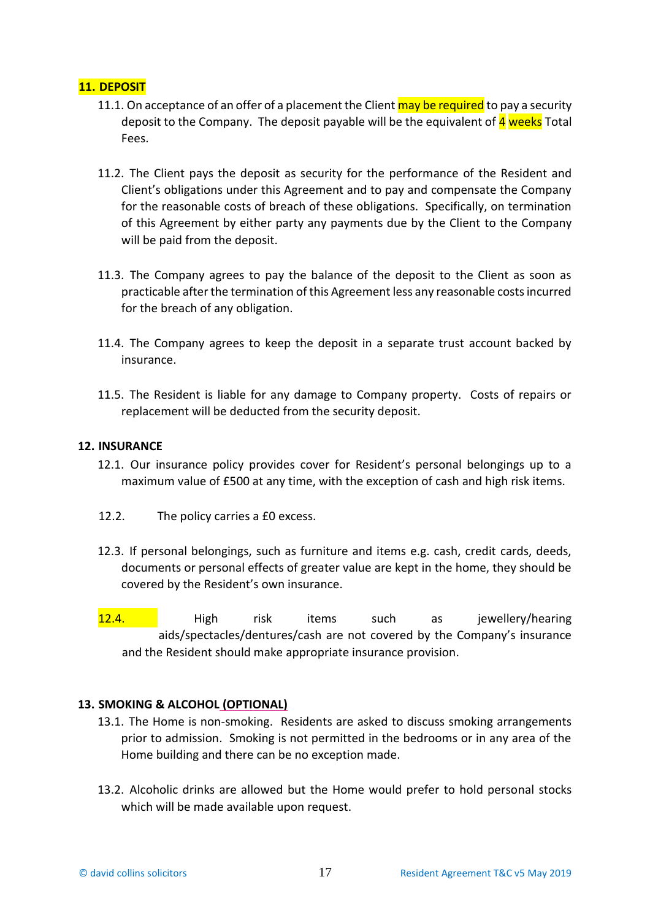# **11. DEPOSIT**

- 11.1. On acceptance of an offer of a placement the Client may be required to pay a security deposit to the Company. The deposit payable will be the equivalent of 4 weeks Total Fees.
- 11.2. The Client pays the deposit as security for the performance of the Resident and Client's obligations under this Agreement and to pay and compensate the Company for the reasonable costs of breach of these obligations. Specifically, on termination of this Agreement by either party any payments due by the Client to the Company will be paid from the deposit.
- 11.3. The Company agrees to pay the balance of the deposit to the Client as soon as practicable after the termination of this Agreement less any reasonable costs incurred for the breach of any obligation.
- 11.4. The Company agrees to keep the deposit in a separate trust account backed by insurance.
- 11.5. The Resident is liable for any damage to Company property. Costs of repairs or replacement will be deducted from the security deposit.

### **12. INSURANCE**

- 12.1. Our insurance policy provides cover for Resident's personal belongings up to a maximum value of £500 at any time, with the exception of cash and high risk items.
- 12.2. The policy carries a £0 excess.
- 12.3. If personal belongings, such as furniture and items e.g. cash, credit cards, deeds, documents or personal effects of greater value are kept in the home, they should be covered by the Resident's own insurance.
- High risk items such as jewellery/hearing aids/spectacles/dentures/cash are not covered by the Company's insurance and the Resident should make appropriate insurance provision. 12.4.

# **13. SMOKING & ALCOHOL (OPTIONAL)**

- 13.1. The Home is non-smoking. Residents are asked to discuss smoking arrangements prior to admission. Smoking is not permitted in the bedrooms or in any area of the Home building and there can be no exception made.
- 13.2. Alcoholic drinks are allowed but the Home would prefer to hold personal stocks which will be made available upon request.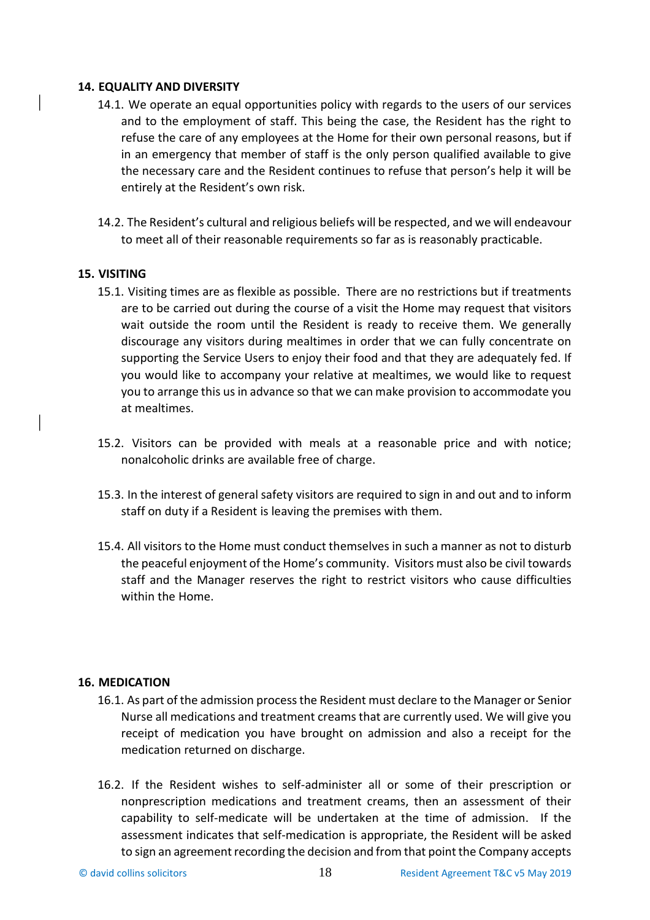#### **14. EQUALITY AND DIVERSITY**

- 14.1. We operate an equal opportunities policy with regards to the users of our services and to the employment of staff. This being the case, the Resident has the right to refuse the care of any employees at the Home for their own personal reasons, but if in an emergency that member of staff is the only person qualified available to give the necessary care and the Resident continues to refuse that person's help it will be entirely at the Resident's own risk.
- 14.2. The Resident's cultural and religious beliefs will be respected, and we will endeavour to meet all of their reasonable requirements so far as is reasonably practicable.

### **15. VISITING**

- 15.1. Visiting times are as flexible as possible. There are no restrictions but if treatments are to be carried out during the course of a visit the Home may request that visitors wait outside the room until the Resident is ready to receive them. We generally discourage any visitors during mealtimes in order that we can fully concentrate on supporting the Service Users to enjoy their food and that they are adequately fed. If you would like to accompany your relative at mealtimes, we would like to request you to arrange this us in advance so that we can make provision to accommodate you at mealtimes.
- 15.2. Visitors can be provided with meals at a reasonable price and with notice; nonalcoholic drinks are available free of charge.
- 15.3. In the interest of general safety visitors are required to sign in and out and to inform staff on duty if a Resident is leaving the premises with them.
- 15.4. All visitors to the Home must conduct themselves in such a manner as not to disturb the peaceful enjoyment of the Home's community. Visitors must also be civil towards staff and the Manager reserves the right to restrict visitors who cause difficulties within the Home.

#### **16. MEDICATION**

- 16.1. As part of the admission process the Resident must declare to the Manager or Senior Nurse all medications and treatment creams that are currently used. We will give you receipt of medication you have brought on admission and also a receipt for the medication returned on discharge.
- 16.2. If the Resident wishes to self-administer all or some of their prescription or nonprescription medications and treatment creams, then an assessment of their capability to self-medicate will be undertaken at the time of admission. If the assessment indicates that self-medication is appropriate, the Resident will be asked to sign an agreement recording the decision and from that point the Company accepts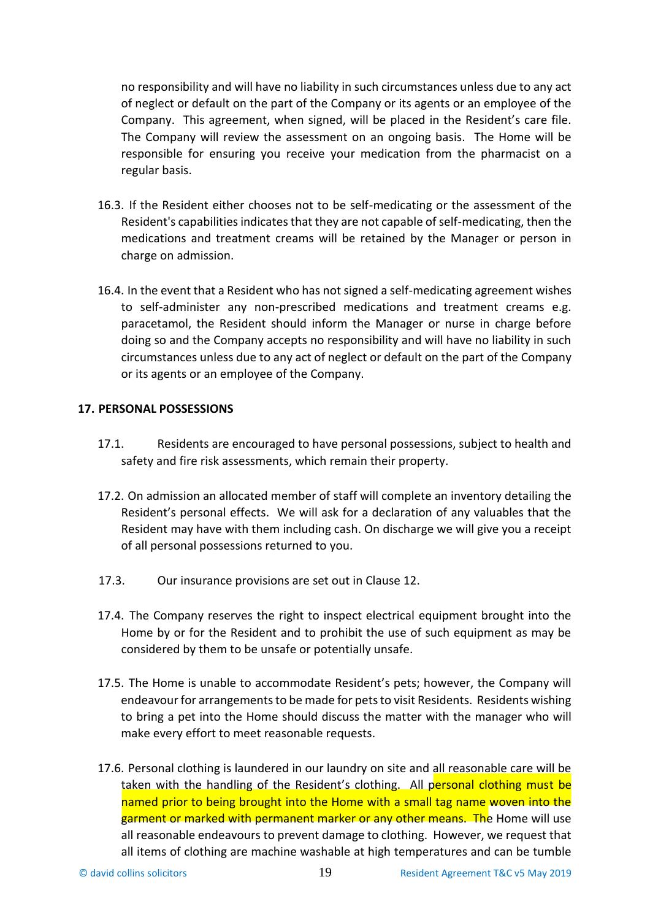no responsibility and will have no liability in such circumstances unless due to any act of neglect or default on the part of the Company or its agents or an employee of the Company. This agreement, when signed, will be placed in the Resident's care file. The Company will review the assessment on an ongoing basis. The Home will be responsible for ensuring you receive your medication from the pharmacist on a regular basis.

- 16.3. If the Resident either chooses not to be self-medicating or the assessment of the Resident's capabilities indicates that they are not capable of self-medicating, then the medications and treatment creams will be retained by the Manager or person in charge on admission.
- 16.4. In the event that a Resident who has not signed a self-medicating agreement wishes to self-administer any non-prescribed medications and treatment creams e.g. paracetamol, the Resident should inform the Manager or nurse in charge before doing so and the Company accepts no responsibility and will have no liability in such circumstances unless due to any act of neglect or default on the part of the Company or its agents or an employee of the Company.

## **17. PERSONAL POSSESSIONS**

- 17.1. Residents are encouraged to have personal possessions, subject to health and safety and fire risk assessments, which remain their property.
- 17.2. On admission an allocated member of staff will complete an inventory detailing the Resident's personal effects. We will ask for a declaration of any valuables that the Resident may have with them including cash. On discharge we will give you a receipt of all personal possessions returned to you.
- 17.3. Our insurance provisions are set out in Clause 12.
- 17.4. The Company reserves the right to inspect electrical equipment brought into the Home by or for the Resident and to prohibit the use of such equipment as may be considered by them to be unsafe or potentially unsafe.
- 17.5. The Home is unable to accommodate Resident's pets; however, the Company will endeavour for arrangements to be made for pets to visit Residents. Residents wishing to bring a pet into the Home should discuss the matter with the manager who will make every effort to meet reasonable requests.
- 17.6. Personal clothing is laundered in our laundry on site and all reasonable care will be taken with the handling of the Resident's clothing. All personal clothing must be named prior to being brought into the Home with a small tag name woven into the garment or marked with permanent marker or any other means. The Home will use all reasonable endeavours to prevent damage to clothing. However, we request that all items of clothing are machine washable at high temperatures and can be tumble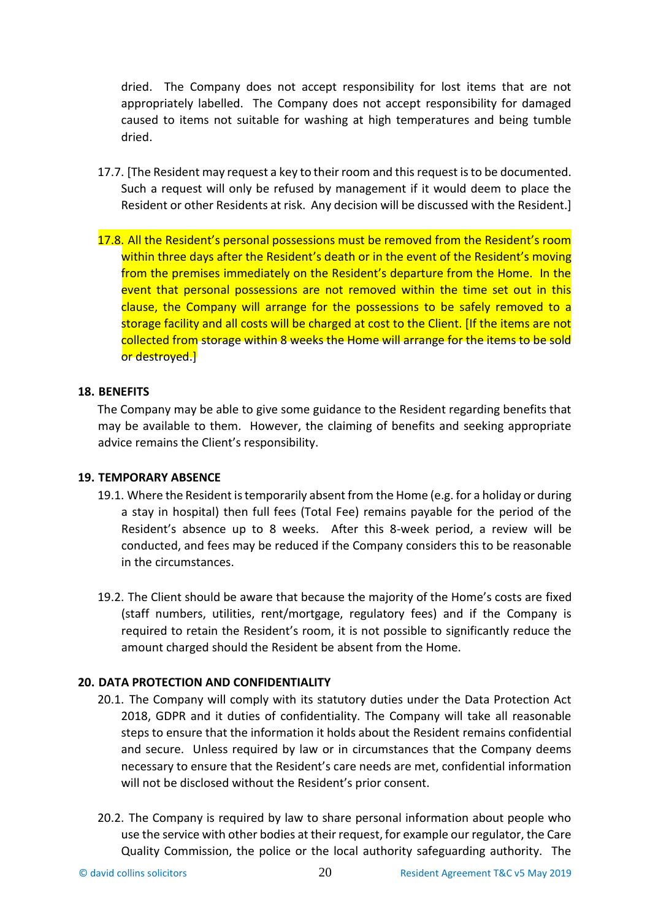dried. The Company does not accept responsibility for lost items that are not appropriately labelled. The Company does not accept responsibility for damaged caused to items not suitable for washing at high temperatures and being tumble dried.

- 17.7. [The Resident may request a key to their room and this request is to be documented. Such a request will only be refused by management if it would deem to place the Resident or other Residents at risk. Any decision will be discussed with the Resident.]
- 17.8. All the Resident's personal possessions must be removed from the Resident's room within three days after the Resident's death or in the event of the Resident's moving from the premises immediately on the Resident's departure from the Home. In the event that personal possessions are not removed within the time set out in this clause, the Company will arrange for the possessions to be safely removed to a storage facility and all costs will be charged at cost to the Client. [If the items are not collected from storage within 8 weeks the Home will arrange for the items to be sold or destroyed.]

#### **18. BENEFITS**

The Company may be able to give some guidance to the Resident regarding benefits that may be available to them. However, the claiming of benefits and seeking appropriate advice remains the Client's responsibility.

#### **19. TEMPORARY ABSENCE**

- 19.1. Where the Resident is temporarily absent from the Home (e.g. for a holiday or during a stay in hospital) then full fees (Total Fee) remains payable for the period of the Resident's absence up to 8 weeks. After this 8-week period, a review will be conducted, and fees may be reduced if the Company considers this to be reasonable in the circumstances.
- 19.2. The Client should be aware that because the majority of the Home's costs are fixed (staff numbers, utilities, rent/mortgage, regulatory fees) and if the Company is required to retain the Resident's room, it is not possible to significantly reduce the amount charged should the Resident be absent from the Home.

### **20. DATA PROTECTION AND CONFIDENTIALITY**

- 20.1. The Company will comply with its statutory duties under the Data Protection Act 2018, GDPR and it duties of confidentiality. The Company will take all reasonable steps to ensure that the information it holds about the Resident remains confidential and secure. Unless required by law or in circumstances that the Company deems necessary to ensure that the Resident's care needs are met, confidential information will not be disclosed without the Resident's prior consent.
- 20.2. The Company is required by law to share personal information about people who use the service with other bodies at their request, for example our regulator, the Care Quality Commission, the police or the local authority safeguarding authority. The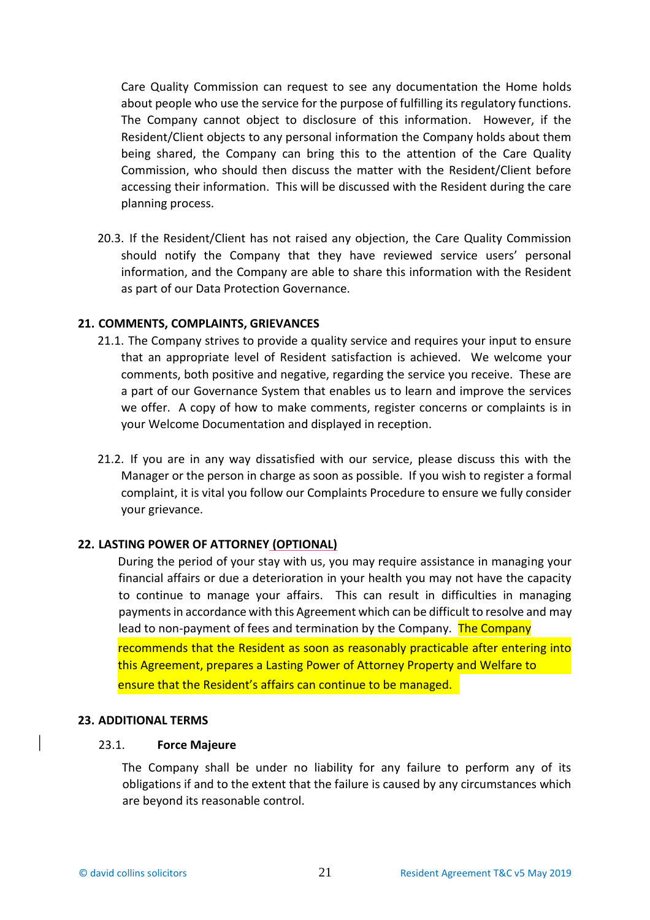Care Quality Commission can request to see any documentation the Home holds about people who use the service for the purpose of fulfilling its regulatory functions. The Company cannot object to disclosure of this information. However, if the Resident/Client objects to any personal information the Company holds about them being shared, the Company can bring this to the attention of the Care Quality Commission, who should then discuss the matter with the Resident/Client before accessing their information. This will be discussed with the Resident during the care planning process.

20.3. If the Resident/Client has not raised any objection, the Care Quality Commission should notify the Company that they have reviewed service users' personal information, and the Company are able to share this information with the Resident as part of our Data Protection Governance.

#### **21. COMMENTS, COMPLAINTS, GRIEVANCES**

- 21.1. The Company strives to provide a quality service and requires your input to ensure that an appropriate level of Resident satisfaction is achieved. We welcome your comments, both positive and negative, regarding the service you receive. These are a part of our Governance System that enables us to learn and improve the services we offer. A copy of how to make comments, register concerns or complaints is in your Welcome Documentation and displayed in reception.
- 21.2. If you are in any way dissatisfied with our service, please discuss this with the Manager or the person in charge as soon as possible. If you wish to register a formal complaint, it is vital you follow our Complaints Procedure to ensure we fully consider your grievance.

### **22. LASTING POWER OF ATTORNEY (OPTIONAL)**

During the period of your stay with us, you may require assistance in managing your financial affairs or due a deterioration in your health you may not have the capacity to continue to manage your affairs. This can result in difficulties in managing payments in accordance with this Agreement which can be difficult to resolve and may lead to non-payment of fees and termination by the Company. The Company recommends that the Resident as soon as reasonably practicable after entering into this Agreement, prepares a Lasting Power of Attorney Property and Welfare to ensure that the Resident's affairs can continue to be managed.

#### **23. ADDITIONAL TERMS**

#### 23.1. **Force Majeure**

The Company shall be under no liability for any failure to perform any of its obligations if and to the extent that the failure is caused by any circumstances which are beyond its reasonable control.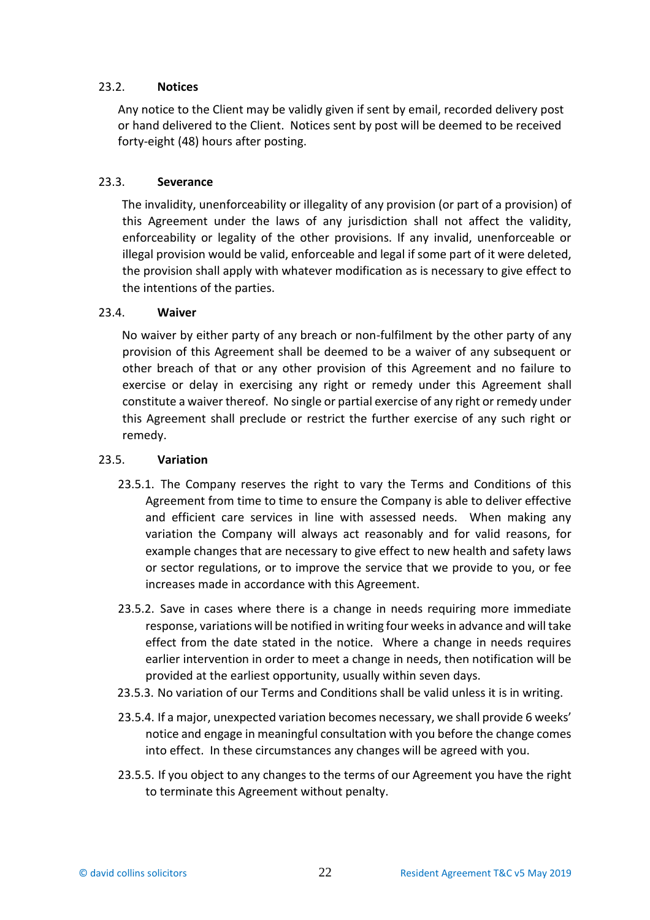## 23.2. **Notices**

Any notice to the Client may be validly given if sent by email, recorded delivery post or hand delivered to the Client. Notices sent by post will be deemed to be received forty-eight (48) hours after posting.

## 23.3. **Severance**

The invalidity, unenforceability or illegality of any provision (or part of a provision) of this Agreement under the laws of any jurisdiction shall not affect the validity, enforceability or legality of the other provisions. If any invalid, unenforceable or illegal provision would be valid, enforceable and legal if some part of it were deleted, the provision shall apply with whatever modification as is necessary to give effect to the intentions of the parties.

## 23.4. **Waiver**

No waiver by either party of any breach or non-fulfilment by the other party of any provision of this Agreement shall be deemed to be a waiver of any subsequent or other breach of that or any other provision of this Agreement and no failure to exercise or delay in exercising any right or remedy under this Agreement shall constitute a waiver thereof. No single or partial exercise of any right or remedy under this Agreement shall preclude or restrict the further exercise of any such right or remedy.

## 23.5. **Variation**

- 23.5.1. The Company reserves the right to vary the Terms and Conditions of this Agreement from time to time to ensure the Company is able to deliver effective and efficient care services in line with assessed needs. When making any variation the Company will always act reasonably and for valid reasons, for example changes that are necessary to give effect to new health and safety laws or sector regulations, or to improve the service that we provide to you, or fee increases made in accordance with this Agreement.
- 23.5.2. Save in cases where there is a change in needs requiring more immediate response, variations will be notified in writing four weeks in advance and will take effect from the date stated in the notice. Where a change in needs requires earlier intervention in order to meet a change in needs, then notification will be provided at the earliest opportunity, usually within seven days.
- 23.5.3. No variation of our Terms and Conditions shall be valid unless it is in writing.
- 23.5.4. If a major, unexpected variation becomes necessary, we shall provide 6 weeks' notice and engage in meaningful consultation with you before the change comes into effect. In these circumstances any changes will be agreed with you.
- 23.5.5. If you object to any changes to the terms of our Agreement you have the right to terminate this Agreement without penalty.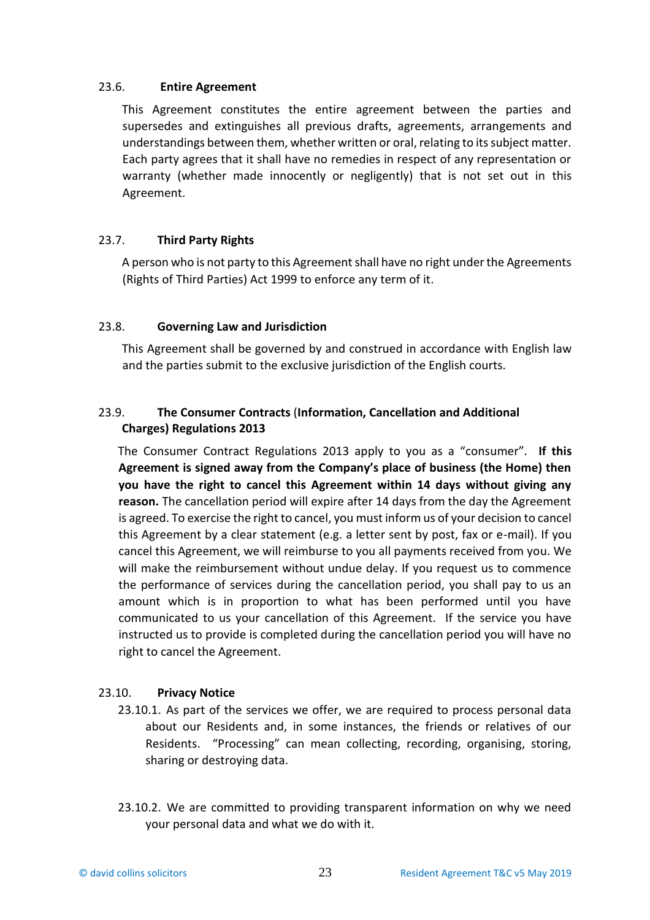## 23.6. **Entire Agreement**

This Agreement constitutes the entire agreement between the parties and supersedes and extinguishes all previous drafts, agreements, arrangements and understandings between them, whether written or oral, relating to its subject matter. Each party agrees that it shall have no remedies in respect of any representation or warranty (whether made innocently or negligently) that is not set out in this Agreement.

# 23.7. **Third Party Rights**

A person who is not party to this Agreement shall have no right under the Agreements (Rights of Third Parties) Act 1999 to enforce any term of it.

## 23.8. **Governing Law and Jurisdiction**

This Agreement shall be governed by and construed in accordance with English law and the parties submit to the exclusive jurisdiction of the English courts.

# 23.9. **The Consumer Contracts** (**Information, Cancellation and Additional Charges) Regulations 2013**

The Consumer Contract Regulations 2013 apply to you as a "consumer". **If this Agreement is signed away from the Company's place of business (the Home) then you have the right to cancel this Agreement within 14 days without giving any reason.** The cancellation period will expire after 14 days from the day the Agreement is agreed. To exercise the right to cancel, you must inform us of your decision to cancel this Agreement by a clear statement (e.g. a letter sent by post, fax or e-mail). If you cancel this Agreement, we will reimburse to you all payments received from you. We will make the reimbursement without undue delay. If you request us to commence the performance of services during the cancellation period, you shall pay to us an amount which is in proportion to what has been performed until you have communicated to us your cancellation of this Agreement. If the service you have instructed us to provide is completed during the cancellation period you will have no right to cancel the Agreement.

# 23.10. **Privacy Notice**

- 23.10.1. As part of the services we offer, we are required to process personal data about our Residents and, in some instances, the friends or relatives of our Residents. "Processing" can mean collecting, recording, organising, storing, sharing or destroying data.
- 23.10.2. We are committed to providing transparent information on why we need your personal data and what we do with it.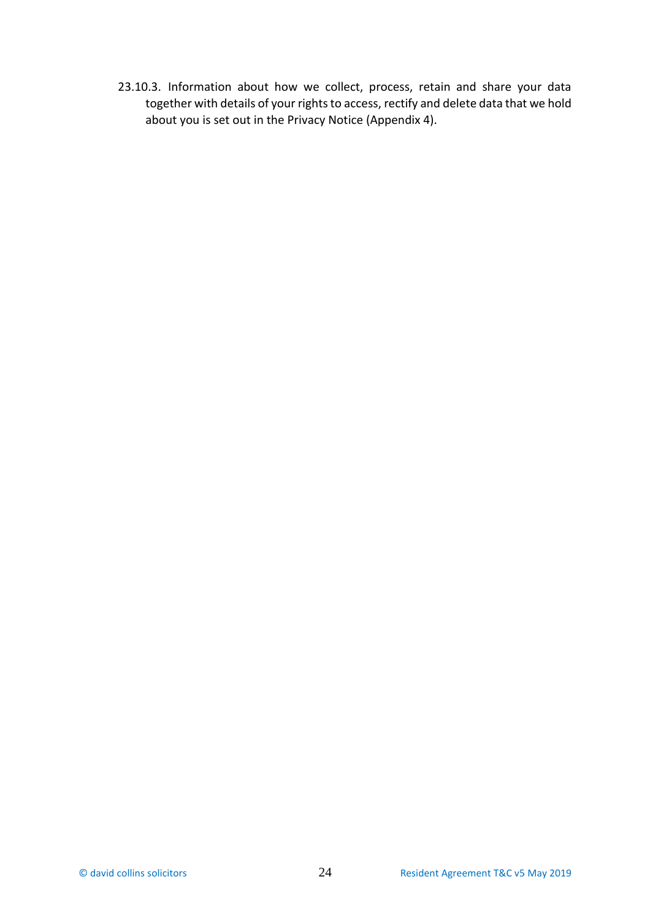23.10.3. Information about how we collect, process, retain and share your data together with details of your rights to access, rectify and delete data that we hold about you is set out in the Privacy Notice (Appendix 4).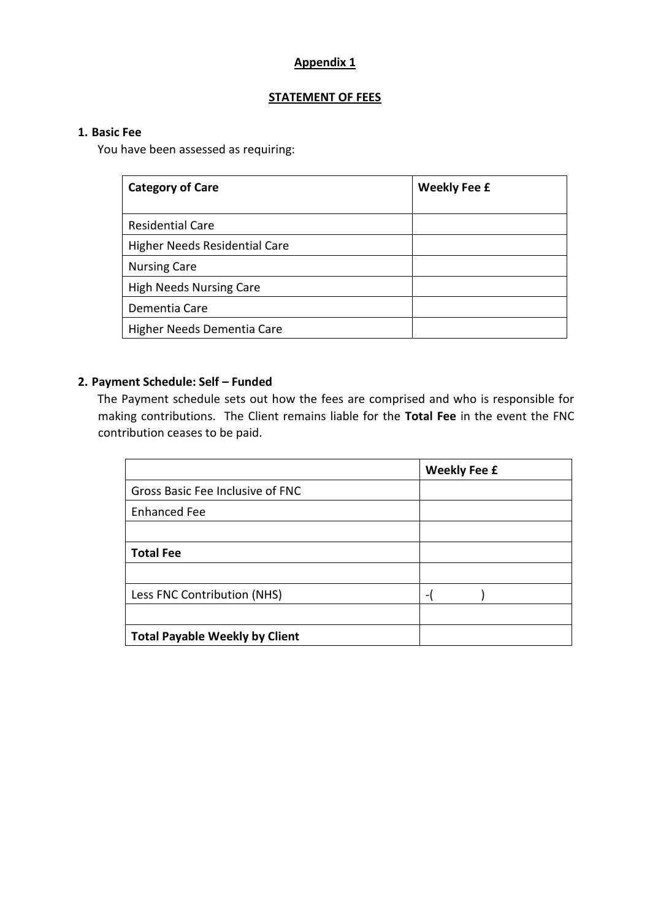# **Appendix 1**

## **STATEMENT OF FEES**

## **1. Basic Fee**

You have been assessed as requiring:

| <b>Category of Care</b>              | <b>Weekly Fee £</b> |
|--------------------------------------|---------------------|
|                                      |                     |
| <b>Residential Care</b>              |                     |
| <b>Higher Needs Residential Care</b> |                     |
| <b>Nursing Care</b>                  |                     |
| <b>High Needs Nursing Care</b>       |                     |
| Dementia Care                        |                     |
| Higher Needs Dementia Care           |                     |

# **2. Payment Schedule: Self – Funded**

The Payment schedule sets out how the fees are comprised and who is responsible for making contributions. The Client remains liable for the **Total Fee** in the event the FNC contribution ceases to be paid.

|                                       | <b>Weekly Fee £</b>      |
|---------------------------------------|--------------------------|
| Gross Basic Fee Inclusive of FNC      |                          |
| <b>Enhanced Fee</b>                   |                          |
|                                       |                          |
| <b>Total Fee</b>                      |                          |
|                                       |                          |
| Less FNC Contribution (NHS)           | $\overline{\phantom{0}}$ |
|                                       |                          |
| <b>Total Payable Weekly by Client</b> |                          |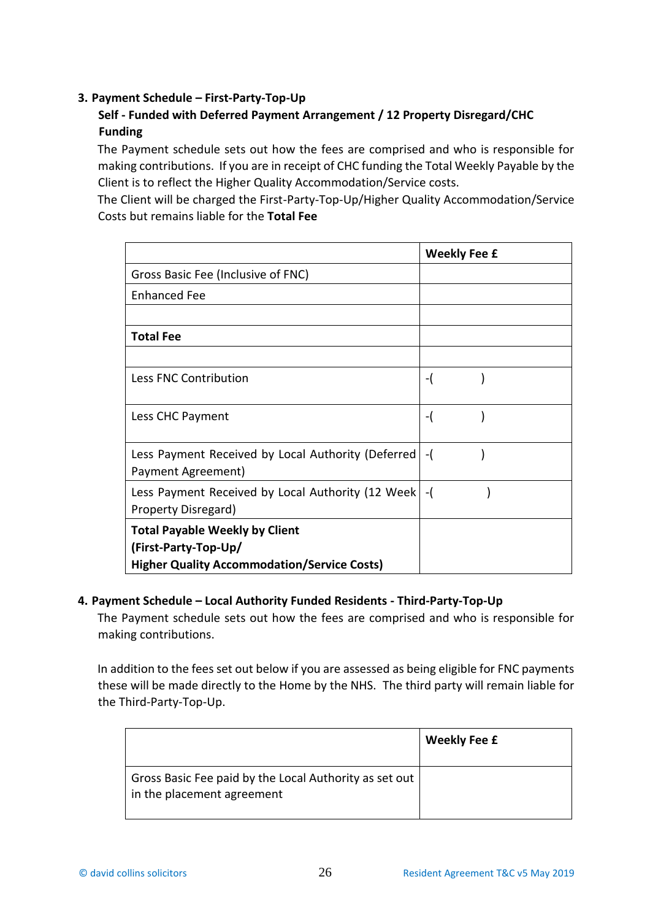# **3. Payment Schedule – First-Party-Top-Up**

# **Self - Funded with Deferred Payment Arrangement / 12 Property Disregard/CHC Funding**

The Payment schedule sets out how the fees are comprised and who is responsible for making contributions. If you are in receipt of CHC funding the Total Weekly Payable by the Client is to reflect the Higher Quality Accommodation/Service costs.

The Client will be charged the First-Party-Top-Up/Higher Quality Accommodation/Service Costs but remains liable for the **Total Fee**

|                                                        | <b>Weekly Fee £</b> |
|--------------------------------------------------------|---------------------|
| Gross Basic Fee (Inclusive of FNC)                     |                     |
| <b>Enhanced Fee</b>                                    |                     |
|                                                        |                     |
| <b>Total Fee</b>                                       |                     |
|                                                        |                     |
| Less FNC Contribution                                  | -(                  |
|                                                        |                     |
| Less CHC Payment                                       | -(                  |
|                                                        |                     |
| Less Payment Received by Local Authority (Deferred) -( |                     |
| Payment Agreement)                                     |                     |
| Less Payment Received by Local Authority (12 Week) -(  |                     |
| Property Disregard)                                    |                     |
| <b>Total Payable Weekly by Client</b>                  |                     |
| (First-Party-Top-Up/                                   |                     |
| <b>Higher Quality Accommodation/Service Costs)</b>     |                     |

# **4. Payment Schedule – Local Authority Funded Residents - Third-Party-Top-Up**

The Payment schedule sets out how the fees are comprised and who is responsible for making contributions.

In addition to the fees set out below if you are assessed as being eligible for FNC payments these will be made directly to the Home by the NHS. The third party will remain liable for the Third-Party-Top-Up.

|                                                                                      | <b>Weekly Fee £</b> |
|--------------------------------------------------------------------------------------|---------------------|
| Gross Basic Fee paid by the Local Authority as set out<br>in the placement agreement |                     |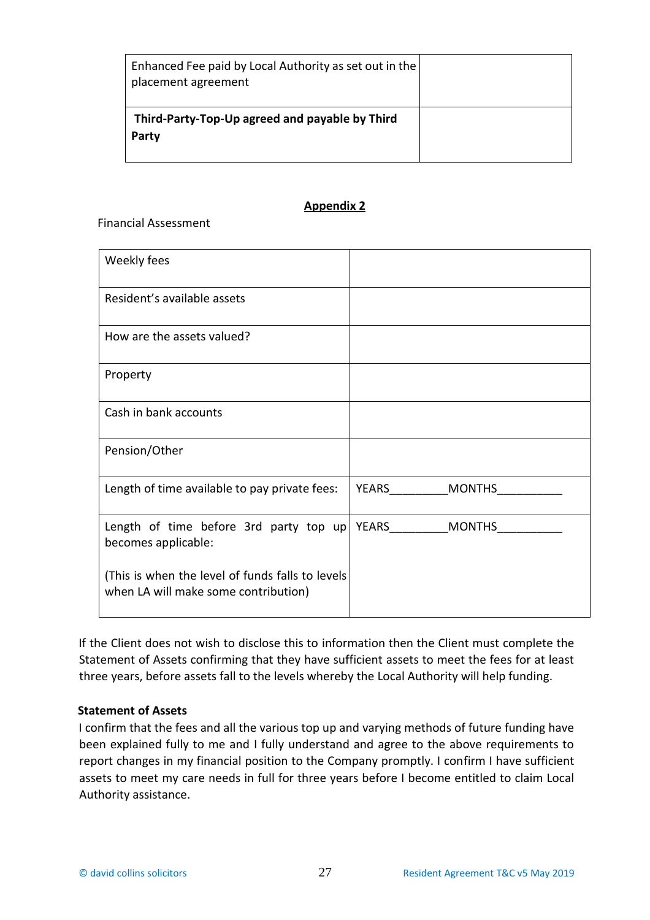| Enhanced Fee paid by Local Authority as set out in the<br>placement agreement |  |
|-------------------------------------------------------------------------------|--|
| Third-Party-Top-Up agreed and payable by Third<br>Party                       |  |

## **Appendix 2**

Financial Assessment

| Weekly fees                                                                              |                        |
|------------------------------------------------------------------------------------------|------------------------|
| Resident's available assets                                                              |                        |
| How are the assets valued?                                                               |                        |
| Property                                                                                 |                        |
| Cash in bank accounts                                                                    |                        |
| Pension/Other                                                                            |                        |
| Length of time available to pay private fees:                                            | YEARS<br><b>MONTHS</b> |
| Length of time before 3rd party top up YEARS ________ MONTHS<br>becomes applicable:      |                        |
| (This is when the level of funds falls to levels<br>when LA will make some contribution) |                        |

If the Client does not wish to disclose this to information then the Client must complete the Statement of Assets confirming that they have sufficient assets to meet the fees for at least three years, before assets fall to the levels whereby the Local Authority will help funding.

### **Statement of Assets**

I confirm that the fees and all the various top up and varying methods of future funding have been explained fully to me and I fully understand and agree to the above requirements to report changes in my financial position to the Company promptly. I confirm I have sufficient assets to meet my care needs in full for three years before I become entitled to claim Local Authority assistance.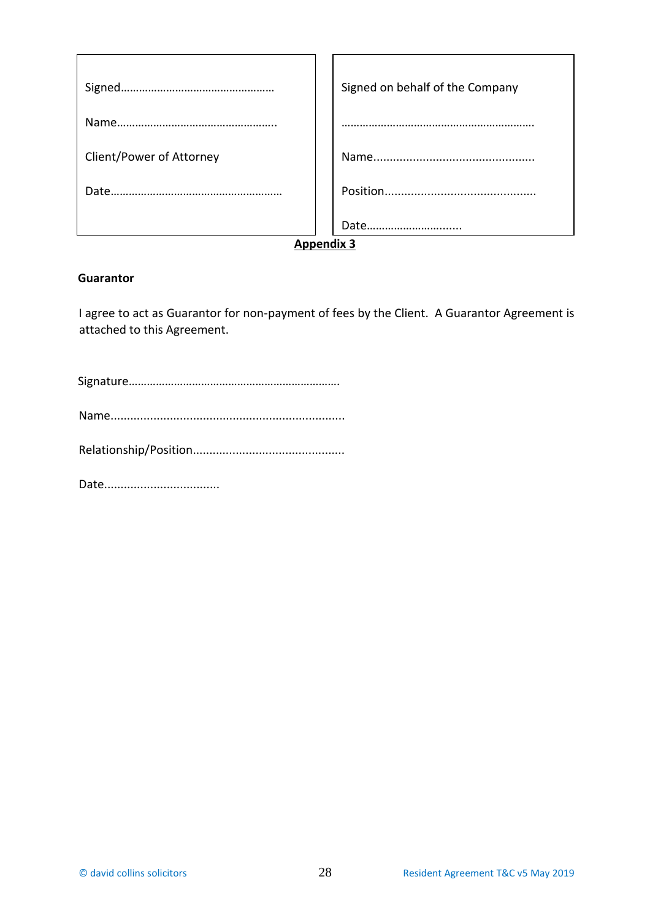|                          |  | Signed on behalf of the Company |
|--------------------------|--|---------------------------------|
|                          |  |                                 |
|                          |  |                                 |
| Client/Power of Attorney |  |                                 |
|                          |  |                                 |
|                          |  |                                 |
|                          |  | Date                            |
| <b>Appendix 3</b>        |  |                                 |

#### **Guarantor**

I agree to act as Guarantor for non-payment of fees by the Client. A Guarantor Agreement is attached to this Agreement.

Signature…………………………………………………………….

Name.......................................................................

Relationship/Position..............................................

Date...................................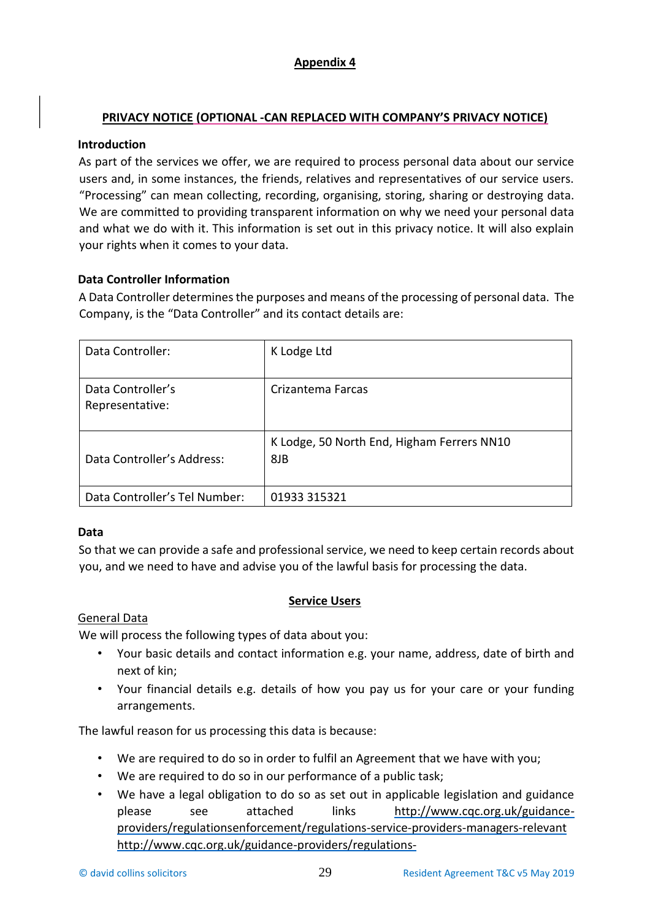# **Appendix 4**

# **PRIVACY NOTICE (OPTIONAL -CAN REPLACED WITH COMPANY'S PRIVACY NOTICE)**

## **Introduction**

As part of the services we offer, we are required to process personal data about our service users and, in some instances, the friends, relatives and representatives of our service users. "Processing" can mean collecting, recording, organising, storing, sharing or destroying data. We are committed to providing transparent information on why we need your personal data and what we do with it. This information is set out in this privacy notice. It will also explain your rights when it comes to your data.

# **Data Controller Information**

A Data Controller determines the purposes and means of the processing of personal data. The Company, is the "Data Controller" and its contact details are:

| Data Controller:                     | K Lodge Ltd                                       |
|--------------------------------------|---------------------------------------------------|
| Data Controller's<br>Representative: | Crizantema Farcas                                 |
| Data Controller's Address:           | K Lodge, 50 North End, Higham Ferrers NN10<br>8JB |
| Data Controller's Tel Number:        | 01933 315321                                      |

# **Data**

So that we can provide a safe and professional service, we need to keep certain records about you, and we need to have and advise you of the lawful basis for processing the data.

# **Service Users**

# General Data

We will process the following types of data about you:

- Your basic details and contact information e.g. your name, address, date of birth and next of kin;
- Your financial details e.g. details of how you pay us for your care or your funding arrangements.

The lawful reason for us processing this data is because:

- We are required to do so in order to fulfil an Agreement that we have with you;
- We are required to do so in our performance of a public task;
- We have a legal obligation to do so as set out in applicable legislation and guidance please see attached links [http://www.cqc.org.uk/guidance](http://www.cqc.org.uk/guidance-providers/regulations-enforcement/regulations-service-providers-managers-relevant)[providers/regulationsenforcement/regulations-service-providers-managers-relevant](http://www.cqc.org.uk/guidance-providers/regulations-enforcement/regulations-service-providers-managers-relevant) [http://www.cqc.org.uk/guidance-providers/regulations-](http://www.cqc.org.uk/guidance-providers/regulations-enforcement/regulations-service-providers-managers-relevant-guidance)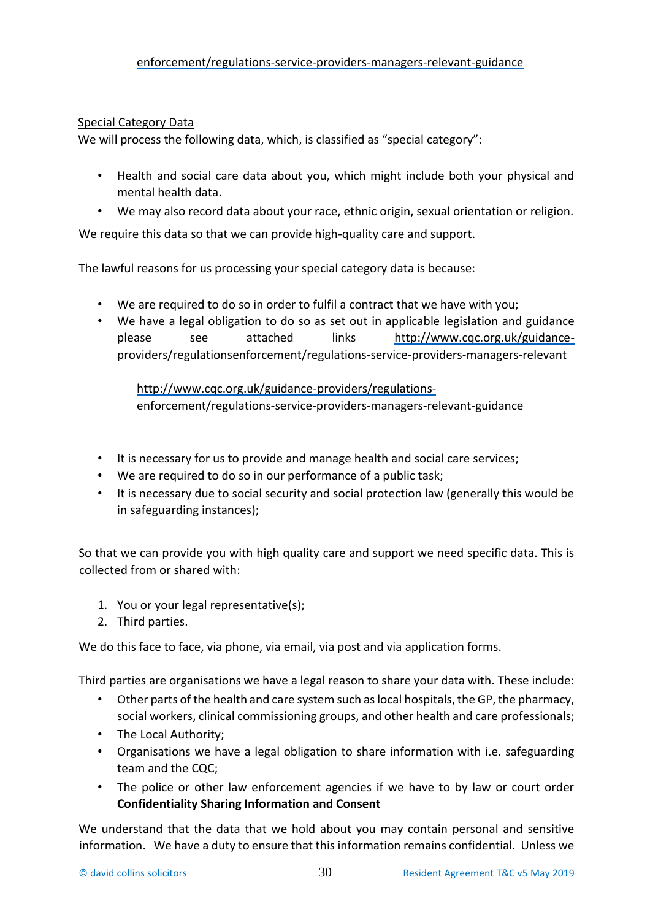## [enforcement/regulations-service-providers-managers-relevant-guidance](http://www.cqc.org.uk/guidance-providers/regulations-enforcement/regulations-service-providers-managers-relevant-guidance)

## Special Category Data

We will process the following data, which, is classified as "special category":

- Health and social care data about you, which might include both your physical and mental health data.
- We may also record data about your race, ethnic origin, sexual orientation or religion.

We require this data so that we can provide high-quality care and support.

The lawful reasons for us processing your special category data is because:

- We are required to do so in order to fulfil a contract that we have with you;
- We have a legal obligation to do so as set out in applicable legislation and guidance please see attached links [http://www.cqc.org.uk/guidance](http://www.cqc.org.uk/guidance-providers/regulations-enforcement/regulations-service-providers-managers-relevant)[providers/regulationsenforcement/regulations-service-providers-managers-relevant](http://www.cqc.org.uk/guidance-providers/regulations-enforcement/regulations-service-providers-managers-relevant)

[http://www.cqc.org.uk/guidance-providers/regulations](http://www.cqc.org.uk/guidance-providers/regulations-enforcement/regulations-service-providers-managers-relevant-guidance)[enforcement/regulations-service-providers-managers-relevant-guidance](http://www.cqc.org.uk/guidance-providers/regulations-enforcement/regulations-service-providers-managers-relevant-guidance)

- It is necessary for us to provide and manage health and social care services;
- We are required to do so in our performance of a public task;
- It is necessary due to social security and social protection law (generally this would be in safeguarding instances);

So that we can provide you with high quality care and support we need specific data. This is collected from or shared with:

- 1. You or your legal representative(s);
- 2. Third parties.

We do this face to face, via phone, via email, via post and via application forms.

Third parties are organisations we have a legal reason to share your data with. These include:

- Other parts of the health and care system such as local hospitals, the GP, the pharmacy, social workers, clinical commissioning groups, and other health and care professionals;
- The Local Authority;
- Organisations we have a legal obligation to share information with i.e. safeguarding team and the CQC;
- The police or other law enforcement agencies if we have to by law or court order **Confidentiality Sharing Information and Consent**

We understand that the data that we hold about you may contain personal and sensitive information. We have a duty to ensure that this information remains confidential. Unless we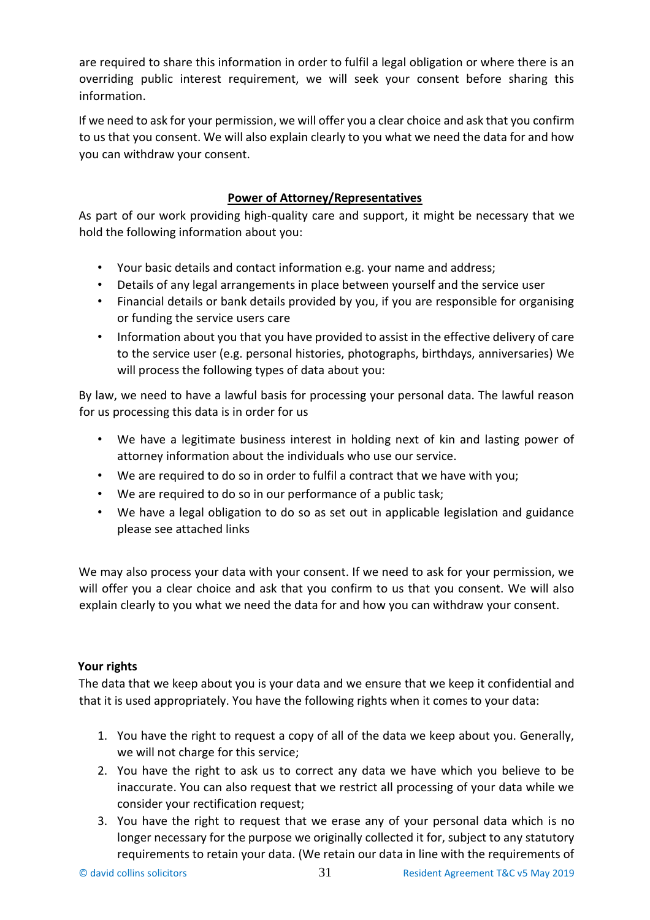are required to share this information in order to fulfil a legal obligation or where there is an overriding public interest requirement, we will seek your consent before sharing this information.

If we need to ask for your permission, we will offer you a clear choice and ask that you confirm to us that you consent. We will also explain clearly to you what we need the data for and how you can withdraw your consent.

# **Power of Attorney/Representatives**

As part of our work providing high-quality care and support, it might be necessary that we hold the following information about you:

- Your basic details and contact information e.g. your name and address;
- Details of any legal arrangements in place between yourself and the service user
- Financial details or bank details provided by you, if you are responsible for organising or funding the service users care
- Information about you that you have provided to assist in the effective delivery of care to the service user (e.g. personal histories, photographs, birthdays, anniversaries) We will process the following types of data about you:

By law, we need to have a lawful basis for processing your personal data. The lawful reason for us processing this data is in order for us

- We have a legitimate business interest in holding next of kin and lasting power of attorney information about the individuals who use our service.
- We are required to do so in order to fulfil a contract that we have with you;
- We are required to do so in our performance of a public task;
- We have a legal obligation to do so as set out in applicable legislation and guidance please see attached links

We may also process your data with your consent. If we need to ask for your permission, we will offer you a clear choice and ask that you confirm to us that you consent. We will also explain clearly to you what we need the data for and how you can withdraw your consent.

# **Your rights**

The data that we keep about you is your data and we ensure that we keep it confidential and that it is used appropriately. You have the following rights when it comes to your data:

- 1. You have the right to request a copy of all of the data we keep about you. Generally, we will not charge for this service;
- 2. You have the right to ask us to correct any data we have which you believe to be inaccurate. You can also request that we restrict all processing of your data while we consider your rectification request;
- 3. You have the right to request that we erase any of your personal data which is no longer necessary for the purpose we originally collected it for, subject to any statutory requirements to retain your data. (We retain our data in line with the requirements of